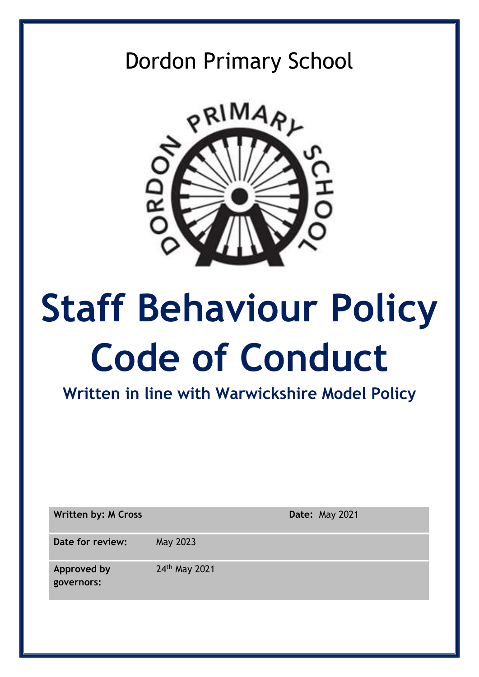# Dordon Primary School



# **Staff Behaviour Policy Code of Conduct**

**Written in line with Warwickshire Model Policy**

**Written by: M Cross Date:** May 2021 **Date for review:** May 2023 **Approved by governors:** 24th May 2021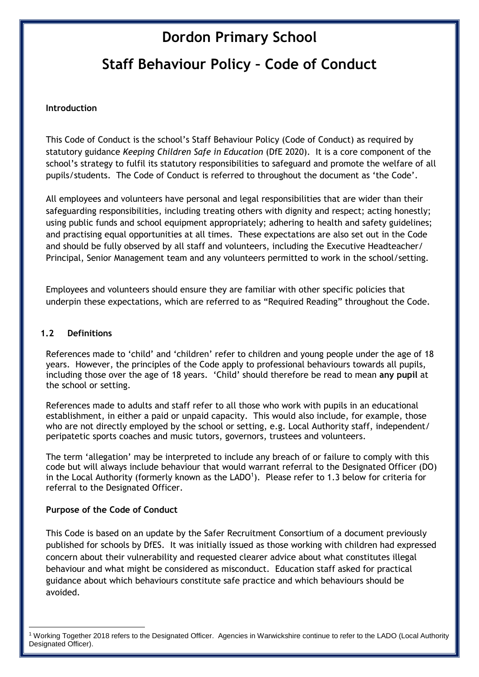## **Dordon Primary School**

## **Staff Behaviour Policy – Code of Conduct**

#### **Introduction**

This Code of Conduct is the school's Staff Behaviour Policy (Code of Conduct) as required by statutory guidance *Keeping Children Safe in Education* (DfE 2020). It is a core component of the school's strategy to fulfil its statutory responsibilities to safeguard and promote the welfare of all pupils/students. The Code of Conduct is referred to throughout the document as 'the Code'*.* 

All employees and volunteers have personal and legal responsibilities that are wider than their safeguarding responsibilities, including treating others with dignity and respect; acting honestly; using public funds and school equipment appropriately; adhering to health and safety guidelines; and practising equal opportunities at all times. These expectations are also set out in the Code and should be fully observed by all staff and volunteers, including the Executive Headteacher/ Principal, Senior Management team and any volunteers permitted to work in the school/setting.

Employees and volunteers should ensure they are familiar with other specific policies that underpin these expectations, which are referred to as "Required Reading" throughout the Code.

#### **1.2 Definitions**

References made to 'child' and 'children' refer to children and young people under the age of 18 years. However, the principles of the Code apply to professional behaviours towards all pupils, including those over the age of 18 years. 'Child' should therefore be read to mean **any pupil** at the school or setting.

References made to adults and staff refer to all those who work with pupils in an educational establishment, in either a paid or unpaid capacity. This would also include, for example, those who are not directly employed by the school or setting, e.g. Local Authority staff, independent/ peripatetic sports coaches and music tutors, governors, trustees and volunteers.

The term 'allegation' may be interpreted to include any breach of or failure to comply with this code but will always include behaviour that would warrant referral to the Designated Officer (DO) in the Local Authority (formerly known as the  $LADO<sup>1</sup>$ ). Please refer to 1.3 below for criteria for referral to the Designated Officer.

#### **Purpose of the Code of Conduct**

1

This Code is based on an update by the Safer Recruitment Consortium of a document previously published for schools by DfES. It was initially issued as those working with children had expressed concern about their vulnerability and requested clearer advice about what constitutes illegal behaviour and what might be considered as misconduct. Education staff asked for practical guidance about which behaviours constitute safe practice and which behaviours should be avoided.

<sup>1</sup> Working Together 2018 refers to the Designated Officer. Agencies in Warwickshire continue to refer to the LADO (Local Authority Designated Officer).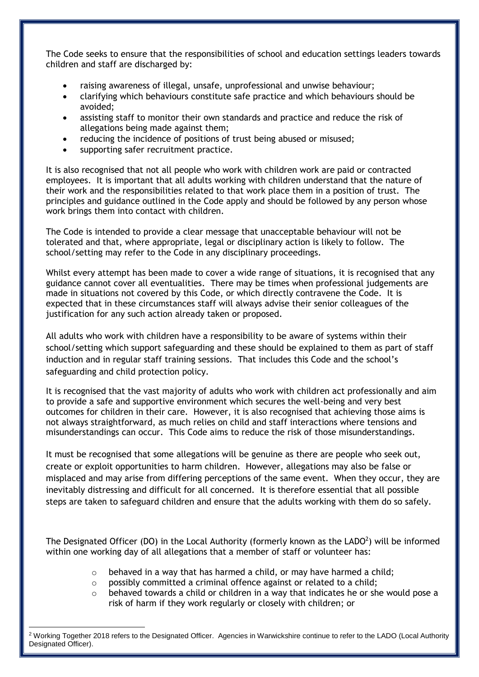The Code seeks to ensure that the responsibilities of school and education settings leaders towards children and staff are discharged by:

- raising awareness of illegal, unsafe, unprofessional and unwise behaviour;
- clarifying which behaviours constitute safe practice and which behaviours should be avoided;
- assisting staff to monitor their own standards and practice and reduce the risk of allegations being made against them;
- reducing the incidence of positions of trust being abused or misused;
- supporting safer recruitment practice.

It is also recognised that not all people who work with children work are paid or contracted employees. It is important that all adults working with children understand that the nature of their work and the responsibilities related to that work place them in a position of trust. The principles and guidance outlined in the Code apply and should be followed by any person whose work brings them into contact with children.

The Code is intended to provide a clear message that unacceptable behaviour will not be tolerated and that, where appropriate, legal or disciplinary action is likely to follow. The school/setting may refer to the Code in any disciplinary proceedings.

Whilst every attempt has been made to cover a wide range of situations, it is recognised that any guidance cannot cover all eventualities. There may be times when professional judgements are made in situations not covered by this Code, or which directly contravene the Code. It is expected that in these circumstances staff will always advise their senior colleagues of the justification for any such action already taken or proposed.

All adults who work with children have a responsibility to be aware of systems within their school/setting which support safeguarding and these should be explained to them as part of staff induction and in regular staff training sessions. That includes this Code and the school's safeguarding and child protection policy.

It is recognised that the vast majority of adults who work with children act professionally and aim to provide a safe and supportive environment which secures the well-being and very best outcomes for children in their care. However, it is also recognised that achieving those aims is not always straightforward, as much relies on child and staff interactions where tensions and misunderstandings can occur. This Code aims to reduce the risk of those misunderstandings.

It must be recognised that some allegations will be genuine as there are people who seek out, create or exploit opportunities to harm children. However, allegations may also be false or misplaced and may arise from differing perceptions of the same event. When they occur, they are inevitably distressing and difficult for all concerned. It is therefore essential that all possible steps are taken to safeguard children and ensure that the adults working with them do so safely.

The Designated Officer (DO) in the Local Authority (formerly known as the LADO<sup>2</sup>) will be informed within one working day of all allegations that a member of staff or volunteer has:

- $\circ$  behaved in a way that has harmed a child, or may have harmed a child;
- o possibly committed a criminal offence against or related to a child;
- $\circ$  behaved towards a child or children in a way that indicates he or she would pose a risk of harm if they work regularly or closely with children; or

1

<sup>2</sup> Working Together 2018 refers to the Designated Officer. Agencies in Warwickshire continue to refer to the LADO (Local Authority Designated Officer).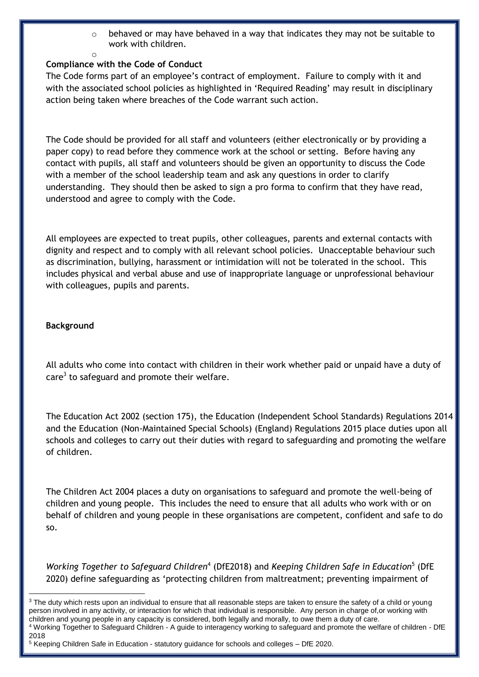$\circ$  behaved or may have behaved in a way that indicates they may not be suitable to work with children.

#### **Compliance with the Code of Conduct**

o

The Code forms part of an employee's contract of employment. Failure to comply with it and with the associated school policies as highlighted in 'Required Reading' may result in disciplinary action being taken where breaches of the Code warrant such action.

The Code should be provided for all staff and volunteers (either electronically or by providing a paper copy) to read before they commence work at the school or setting. Before having any contact with pupils, all staff and volunteers should be given an opportunity to discuss the Code with a member of the school leadership team and ask any questions in order to clarify understanding. They should then be asked to sign a pro forma to confirm that they have read, understood and agree to comply with the Code.

All employees are expected to treat pupils, other colleagues, parents and external contacts with dignity and respect and to comply with all relevant school policies. Unacceptable behaviour such as discrimination, bullying, harassment or intimidation will not be tolerated in the school. This includes physical and verbal abuse and use of inappropriate language or unprofessional behaviour with colleagues, pupils and parents.

#### **Background**

**.** 

All adults who come into contact with children in their work whether paid or unpaid have a duty of care<sup>3</sup> to safeguard and promote their welfare.

The Education Act 2002 (section 175), the Education (Independent School Standards) Regulations 2014 and the Education (Non-Maintained Special Schools) (England) Regulations 2015 place duties upon all schools and colleges to carry out their duties with regard to safeguarding and promoting the welfare of children.

The Children Act 2004 places a duty on organisations to safeguard and promote the well-being of children and young people. This includes the need to ensure that all adults who work with or on behalf of children and young people in these organisations are competent, confident and safe to do so.

Working Together to Safeguard Children<sup>4</sup> (DfE2018) and *Keeping Children Safe in Education*<sup>5</sup> (DfE 2020) define safeguarding as 'protecting children from maltreatment; preventing impairment of

<sup>3</sup> The duty which rests upon an individual to ensure that all reasonable steps are taken to ensure the safety of a child or young person involved in any activity, or interaction for which that individual is responsible. Any person in charge of,or working with children and young people in any capacity is considered, both legally and morally, to owe them a duty of care. <sup>4</sup> Working Together to Safeguard Children - A guide to interagency working to safeguard and promote the welfare of children - DfE 2018

<sup>5</sup> Keeping Children Safe in Education - statutory guidance for schools and colleges – DfE 2020.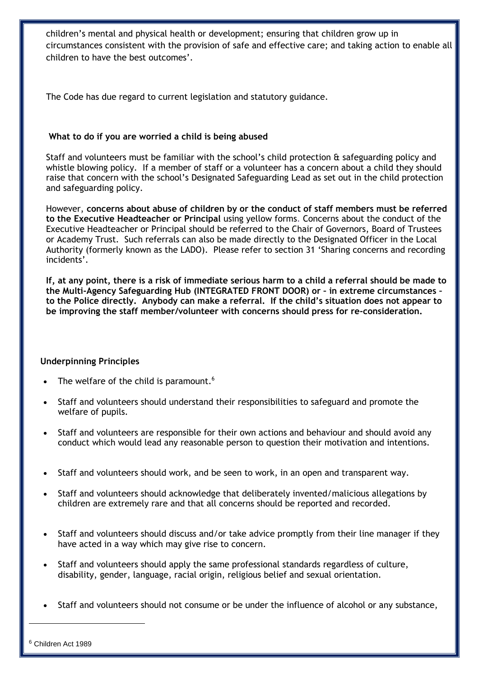children's mental and physical health or development; ensuring that children grow up in circumstances consistent with the provision of safe and effective care; and taking action to enable all children to have the best outcomes'.

The Code has due regard to current legislation and statutory guidance.

#### **What to do if you are worried a child is being abused**

Staff and volunteers must be familiar with the school's child protection & safeguarding policy and whistle blowing policy. If a member of staff or a volunteer has a concern about a child they should raise that concern with the school's Designated Safeguarding Lead as set out in the child protection and safeguarding policy.

However, **concerns about abuse of children by or the conduct of staff members must be referred to the Executive Headteacher or Principal** using yellow forms. Concerns about the conduct of the Executive Headteacher or Principal should be referred to the Chair of Governors, Board of Trustees or Academy Trust. Such referrals can also be made directly to the Designated Officer in the Local Authority (formerly known as the LADO). Please refer to section 31 'Sharing concerns and recording incidents'.

**If, at any point, there is a risk of immediate serious harm to a child a referral should be made to the Multi-Agency Safeguarding Hub (INTEGRATED FRONT DOOR) or – in extreme circumstances – to the Police directly. Anybody can make a referral. If the child's situation does not appear to be improving the staff member/volunteer with concerns should press for re-consideration.** 

#### **Underpinning Principles**

- The welfare of the child is paramount.<sup>6</sup>
- Staff and volunteers should understand their responsibilities to safeguard and promote the welfare of pupils.
- Staff and volunteers are responsible for their own actions and behaviour and should avoid any conduct which would lead any reasonable person to question their motivation and intentions.
- Staff and volunteers should work, and be seen to work, in an open and transparent way.
- Staff and volunteers should acknowledge that deliberately invented/malicious allegations by children are extremely rare and that all concerns should be reported and recorded.
- Staff and volunteers should discuss and/or take advice promptly from their line manager if they have acted in a way which may give rise to concern.
- Staff and volunteers should apply the same professional standards regardless of culture, disability, gender, language, racial origin, religious belief and sexual orientation.
- Staff and volunteers should not consume or be under the influence of alcohol or any substance,

1

<sup>6</sup> Children Act 1989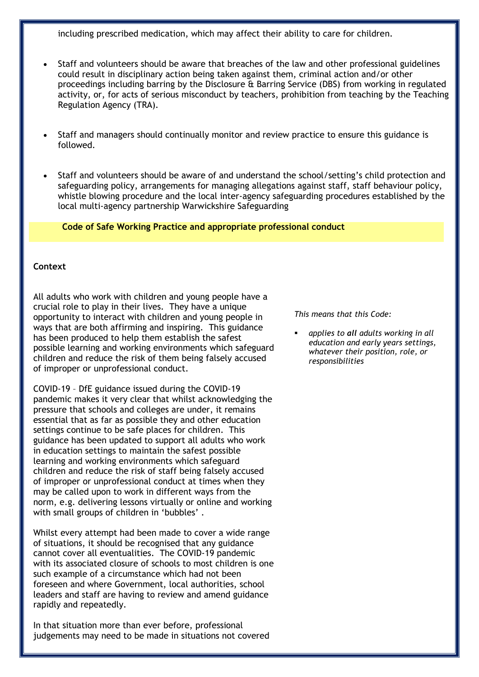including prescribed medication, which may affect their ability to care for children.

- Staff and volunteers should be aware that breaches of the law and other professional guidelines could result in disciplinary action being taken against them, criminal action and/or other proceedings including barring by the Disclosure & Barring Service (DBS) from working in regulated activity, or, for acts of serious misconduct by teachers, prohibition from teaching by the Teaching Regulation Agency (TRA).
- Staff and managers should continually monitor and review practice to ensure this guidance is followed.
- Staff and volunteers should be aware of and understand the school/setting's child protection and safeguarding policy, arrangements for managing allegations against staff, staff behaviour policy, whistle blowing procedure and the local inter-agency safeguarding procedures established by the local multi-agency partnership Warwickshire Safeguarding

**Code of Safe Working Practice and appropriate professional conduct**

#### **Context**

All adults who work with children and young people have a crucial role to play in their lives. They have a unique opportunity to interact with children and young people in ways that are both affirming and inspiring. This guidance has been produced to help them establish the safest possible learning and working environments which safeguard children and reduce the risk of them being falsely accused of improper or unprofessional conduct.

COVID-19 – DfE guidance issued during the COVID-19 pandemic makes it very clear that whilst acknowledging the pressure that schools and colleges are under, it remains essential that as far as possible they and other education settings continue to be safe places for children. This guidance has been updated to support all adults who work in education settings to maintain the safest possible learning and working environments which safeguard children and reduce the risk of staff being falsely accused of improper or unprofessional conduct at times when they may be called upon to work in different ways from the norm, e.g. delivering lessons virtually or online and working with small groups of children in 'bubbles' .

Whilst every attempt had been made to cover a wide range of situations, it should be recognised that any guidance cannot cover all eventualities. The COVID-19 pandemic with its associated closure of schools to most children is one such example of a circumstance which had not been foreseen and where Government, local authorities, school leaders and staff are having to review and amend guidance rapidly and repeatedly.

In that situation more than ever before, professional judgements may need to be made in situations not covered *This means that this Code:*

 *applies to all adults working in all education and early years settings, whatever their position, role, or responsibilities*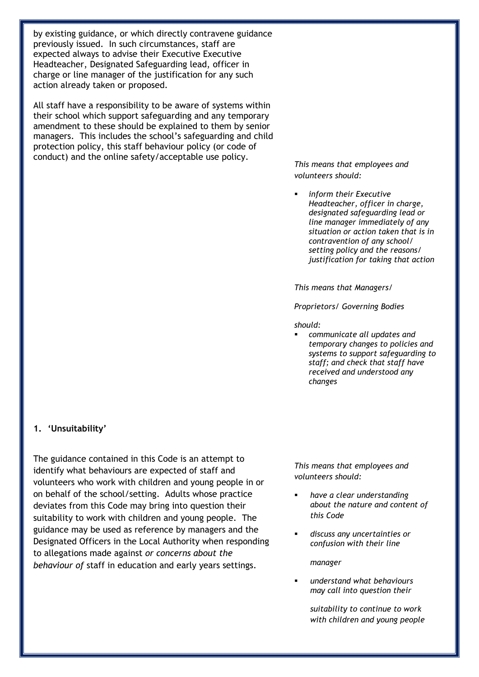by existing guidance, or which directly contravene guidance previously issued. In such circumstances, staff are expected always to advise their Executive Executive Headteacher, Designated Safeguarding lead, officer in charge or line manager of the justification for any such action already taken or proposed.

All staff have a responsibility to be aware of systems within their school which support safeguarding and any temporary amendment to these should be explained to them by senior managers. This includes the school's safeguarding and child protection policy, this staff behaviour policy (or code of conduct) and the online safety/acceptable use policy.

*This means that employees and volunteers should:*

 *inform their Executive Headteacher, officer in charge, designated safeguarding lead or line manager immediately of any situation or action taken that is in contravention of any school/ setting policy and the reasons/ justification for taking that action*

*This means that Managers/* 

*Proprietors/ Governing Bodies*

*should:* 

 *communicate all updates and temporary changes to policies and systems to support safeguarding to staff; and check that staff have received and understood any changes*

#### **1. 'Unsuitability'**

The guidance contained in this Code is an attempt to identify what behaviours are expected of staff and volunteers who work with children and young people in or on behalf of the school/setting. Adults whose practice deviates from this Code may bring into question their suitability to work with children and young people. The guidance may be used as reference by managers and the Designated Officers in the Local Authority when responding to allegations made against *or concerns about the behaviour of* staff in education and early years settings.

*This means that employees and volunteers should:*

- *have a clear understanding about the nature and content of this Code*
- *discuss any uncertainties or confusion with their line*

*manager*

 *understand what behaviours may call into question their* 

> *suitability to continue to work with children and young people*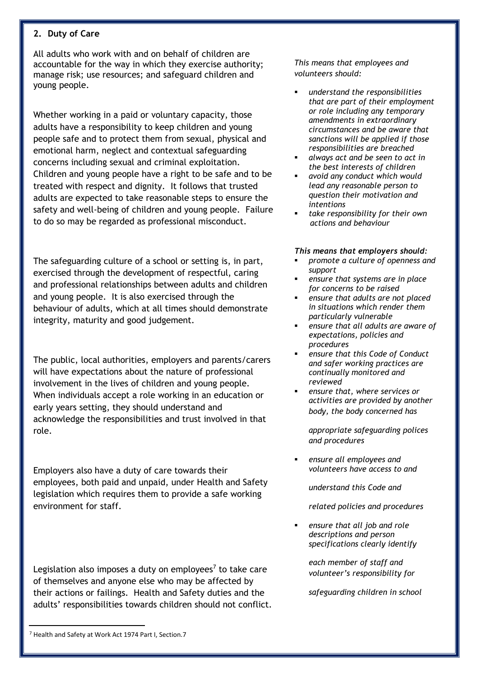#### **2. Duty of Care**

All adults who work with and on behalf of children are accountable for the way in which they exercise authority; manage risk; use resources; and safeguard children and young people.

Whether working in a paid or voluntary capacity, those adults have a responsibility to keep children and young people safe and to protect them from sexual, physical and emotional harm, neglect and contextual safeguarding concerns including sexual and criminal exploitation. Children and young people have a right to be safe and to be treated with respect and dignity. It follows that trusted adults are expected to take reasonable steps to ensure the safety and well-being of children and young people. Failure to do so may be regarded as professional misconduct.

The safeguarding culture of a school or setting is, in part, exercised through the development of respectful, caring and professional relationships between adults and children and young people. It is also exercised through the behaviour of adults, which at all times should demonstrate integrity, maturity and good judgement.

The public, local authorities, employers and parents/carers will have expectations about the nature of professional involvement in the lives of children and young people. When individuals accept a role working in an education or early years setting, they should understand and acknowledge the responsibilities and trust involved in that role.

Employers also have a duty of care towards their employees, both paid and unpaid, under Health and Safety legislation which requires them to provide a safe working environment for staff.

Legislation also imposes a duty on employees<sup>7</sup> to take care of themselves and anyone else who may be affected by their actions or failings. Health and Safety duties and the adults' responsibilities towards children should not conflict. *This means that employees and volunteers should:*

- *understand the responsibilities that are part of their employment or role including any temporary amendments in extraordinary circumstances and be aware that sanctions will be applied if those responsibilities are breached*
- *always act and be seen to act in the best interests of children*
- *avoid any conduct which would lead any reasonable person to question their motivation and intentions*
- *take responsibility for their own actions and behaviour*

#### *This means that employers should:*

- *promote a culture of openness and support*
- *ensure that systems are in place for concerns to be raised*
- *ensure that adults are not placed in situations which render them particularly vulnerable*
- *ensure that all adults are aware of expectations, policies and procedures*
- *ensure that this Code of Conduct and safer working practices are continually monitored and reviewed*
- *ensure that, where services or activities are provided by another body, the body concerned has*

*appropriate safeguarding polices and procedures* 

 *ensure all employees and volunteers have access to and* 

*understand this Code and* 

*related policies and procedures*

 *ensure that all job and role descriptions and person specifications clearly identify* 

> *each member of staff and volunteer's responsibility for*

*safeguarding children in school* 

1

<sup>7</sup> Health and Safety at Work Act 1974 Part I, Section.7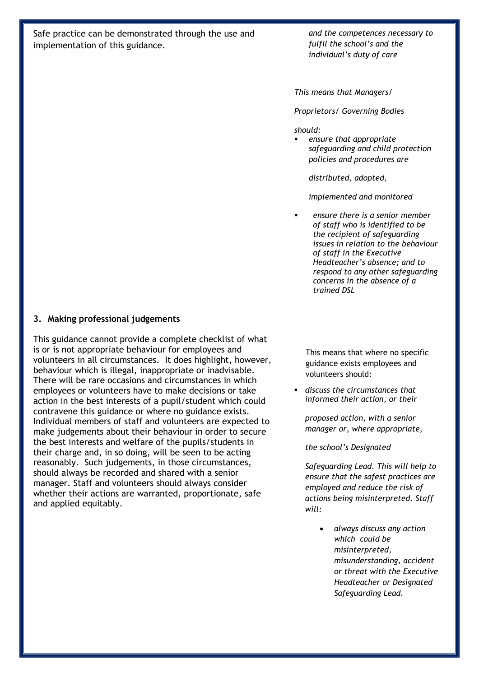Safe practice can be demonstrated through the use and implementation of this guidance.

*and the competences necessary to fulfil the school's and the individual's duty of care*

*This means that Managers/* 

*Proprietors/ Governing Bodies*

#### *should:*

 *ensure that appropriate safeguarding and child protection policies and procedures are* 

*distributed, adopted,* 

*implemented and monitored* 

 *ensure there is a senior member of staff who is identified to be the recipient of safeguarding issues in relation to the behaviour of staff in the Executive Headteacher's absence; and to respond to any other safeguarding concerns in the absence of a trained DSL*

#### **3. Making professional judgements**

This guidance cannot provide a complete checklist of what is or is not appropriate behaviour for employees and volunteers in all circumstances. It does highlight, however, behaviour which is illegal, inappropriate or inadvisable. There will be rare occasions and circumstances in which employees or volunteers have to make decisions or take action in the best interests of a pupil/student which could contravene this guidance or where no guidance exists. Individual members of staff and volunteers are expected to make judgements about their behaviour in order to secure the best interests and welfare of the pupils/students in their charge and, in so doing, will be seen to be acting reasonably. Such judgements, in those circumstances, should always be recorded and shared with a senior manager. Staff and volunteers should always consider whether their actions are warranted, proportionate, safe and applied equitably.

This means that where no specific guidance exists employees and volunteers should:

 *discuss the circumstances that informed their action, or their* 

*proposed action, with a senior manager or, where appropriate,*

*the school's Designated* 

*Safeguarding Lead. This will help to ensure that the safest practices are employed and reduce the risk of actions being misinterpreted. Staff will:*

> *always discuss any action which could be misinterpreted, misunderstanding, accident or threat with the Executive Headteacher or Designated Safeguarding Lead.*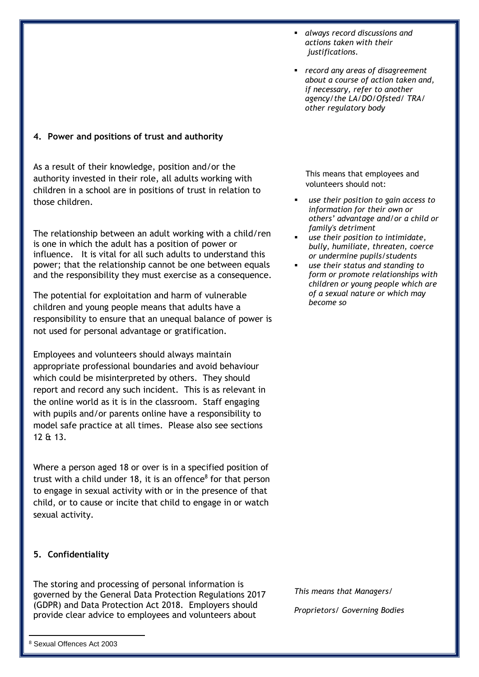**4. Power and positions of trust and authority**

As a result of their knowledge, position and/or the authority invested in their role, all adults working with children in a school are in positions of trust in relation to those children.

The relationship between an adult working with a child/ren is one in which the adult has a position of power or influence. It is vital for all such adults to understand this power; that the relationship cannot be one between equals and the responsibility they must exercise as a consequence.

The potential for exploitation and harm of vulnerable children and young people means that adults have a responsibility to ensure that an unequal balance of power is not used for personal advantage or gratification.

Employees and volunteers should always maintain appropriate professional boundaries and avoid behaviour which could be misinterpreted by others. They should report and record any such incident. This is as relevant in the online world as it is in the classroom. Staff engaging with pupils and/or parents online have a responsibility to model safe practice at all times. Please also see sections 12 & 13.

Where a person aged 18 or over is in a specified position of trust with a child under 18, it is an offence<sup>8</sup> for that person to engage in sexual activity with or in the presence of that child, or to cause or incite that child to engage in or watch sexual activity.

#### **5. Confidentiality**

The storing and processing of personal information is governed by the General Data Protection Regulations 2017 (GDPR) and Data Protection Act 2018. Employers should provide clear advice to employees and volunteers about

1

- *always record discussions and actions taken with their justifications.*
- *record any areas of disagreement about a course of action taken and, if necessary, refer to another agency/the LA/DO/Ofsted/ TRA/ other regulatory body*

This means that employees and volunteers should not:

- *use their position to gain access to information for their own or others' advantage and/or a child or family's detriment*
- *use their position to intimidate, bully, humiliate, threaten, coerce or undermine pupils/students*
- *use their status and standing to form or promote relationships with children or young people which are of a sexual nature or which may become so*

*This means that Managers/ Proprietors/ Governing Bodies*

<sup>8</sup> Sexual Offences Act 2003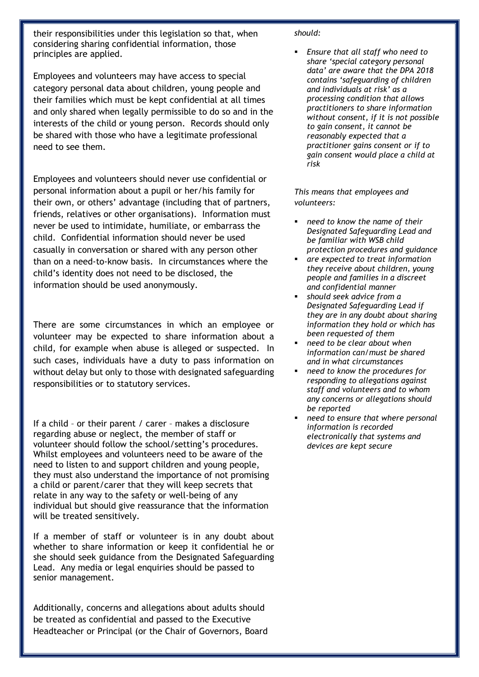their responsibilities under this legislation so that, when considering sharing confidential information, those principles are applied.

Employees and volunteers may have access to special category personal data about children, young people and their families which must be kept confidential at all times and only shared when legally permissible to do so and in the interests of the child or young person. Records should only be shared with those who have a legitimate professional need to see them.

Employees and volunteers should never use confidential or personal information about a pupil or her/his family for their own, or others' advantage (including that of partners, friends, relatives or other organisations). Information must never be used to intimidate, humiliate, or embarrass the child. Confidential information should never be used casually in conversation or shared with any person other than on a need-to-know basis. In circumstances where the child's identity does not need to be disclosed, the information should be used anonymously.

There are some circumstances in which an employee or volunteer may be expected to share information about a child, for example when abuse is alleged or suspected. In such cases, individuals have a duty to pass information on without delay but only to those with designated safeguarding responsibilities or to statutory services.

If a child – or their parent / carer – makes a disclosure regarding abuse or neglect, the member of staff or volunteer should follow the school/setting's procedures. Whilst employees and volunteers need to be aware of the need to listen to and support children and young people, they must also understand the importance of not promising a child or parent/carer that they will keep secrets that relate in any way to the safety or well-being of any individual but should give reassurance that the information will be treated sensitively.

If a member of staff or volunteer is in any doubt about whether to share information or keep it confidential he or she should seek guidance from the Designated Safeguarding Lead. Any media or legal enquiries should be passed to senior management.

Additionally, concerns and allegations about adults should be treated as confidential and passed to the Executive Headteacher or Principal (or the Chair of Governors, Board

#### *should:*

 *Ensure that all staff who need to share 'special category personal data' are aware that the DPA 2018 contains 'safeguarding of children and individuals at risk' as a processing condition that allows practitioners to share information without consent, if it is not possible to gain consent, it cannot be reasonably expected that a practitioner gains consent or if to gain consent would place a child at risk* 

*This means that employees and volunteers:*

- *need to know the name of their Designated Safeguarding Lead and be familiar with WSB child protection procedures and guidance*
- *are expected to treat information they receive about children, young people and families in a discreet and confidential manner*
- *should seek advice from a Designated Safeguarding Lead if they are in any doubt about sharing information they hold or which has been requested of them*
- *need to be clear about when information can/must be shared and in what circumstances*
- *need to know the procedures for responding to allegations against staff and volunteers and to whom any concerns or allegations should be reported*
- *need to ensure that where personal information is recorded electronically that systems and devices are kept secure*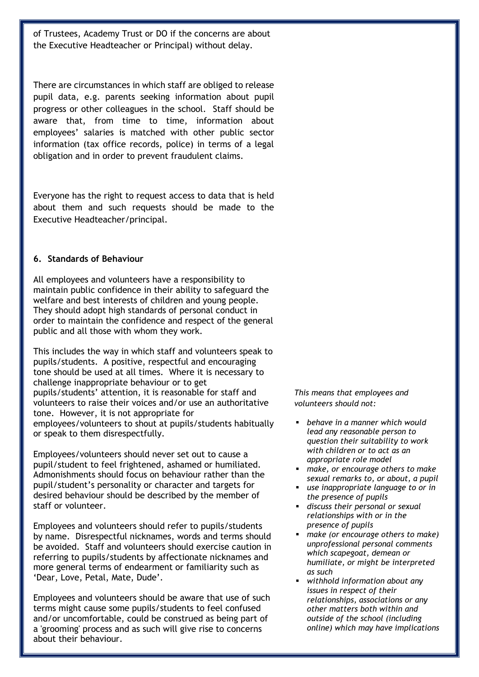of Trustees, Academy Trust or DO if the concerns are about the Executive Headteacher or Principal) without delay.

There are circumstances in which staff are obliged to release pupil data, e.g. parents seeking information about pupil progress or other colleagues in the school. Staff should be aware that, from time to time, information about employees' salaries is matched with other public sector information (tax office records, police) in terms of a legal obligation and in order to prevent fraudulent claims.

Everyone has the right to request access to data that is held about them and such requests should be made to the Executive Headteacher/principal.

#### **6. Standards of Behaviour**

All employees and volunteers have a responsibility to maintain public confidence in their ability to safeguard the welfare and best interests of children and young people. They should adopt high standards of personal conduct in order to maintain the confidence and respect of the general public and all those with whom they work.

This includes the way in which staff and volunteers speak to pupils/students. A positive, respectful and encouraging tone should be used at all times. Where it is necessary to challenge inappropriate behaviour or to get pupils/students' attention, it is reasonable for staff and volunteers to raise their voices and/or use an authoritative tone. However, it is not appropriate for employees/volunteers to shout at pupils/students habitually or speak to them disrespectfully.

Employees/volunteers should never set out to cause a pupil/student to feel frightened, ashamed or humiliated. Admonishments should focus on behaviour rather than the pupil/student's personality or character and targets for desired behaviour should be described by the member of staff or volunteer.

Employees and volunteers should refer to pupils/students by name. Disrespectful nicknames, words and terms should be avoided. Staff and volunteers should exercise caution in referring to pupils/students by affectionate nicknames and more general terms of endearment or familiarity such as 'Dear, Love, Petal, Mate, Dude'.

Employees and volunteers should be aware that use of such terms might cause some pupils/students to feel confused and/or uncomfortable, could be construed as being part of a 'grooming' process and as such will give rise to concerns about their behaviour.

*This means that employees and volunteers should not:*

- *behave in a manner which would lead any reasonable person to question their suitability to work with children or to act as an appropriate role model*
- *make, or encourage others to make sexual remarks to, or about, a pupil*
- *use inappropriate language to or in the presence of pupils*
- *discuss their personal or sexual relationships with or in the presence of pupils*
- *make (or encourage others to make) unprofessional personal comments which scapegoat, demean or humiliate, or might be interpreted as such*
- *withhold information about any issues in respect of their relationships, associations or any other matters both within and outside of the school (including online) which may have implications*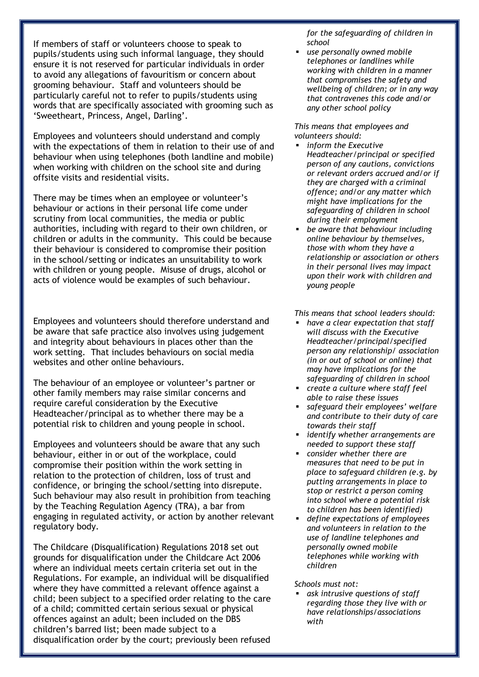If members of staff or volunteers choose to speak to pupils/students using such informal language, they should ensure it is not reserved for particular individuals in order to avoid any allegations of favouritism or concern about grooming behaviour. Staff and volunteers should be particularly careful not to refer to pupils/students using words that are specifically associated with grooming such as 'Sweetheart, Princess, Angel, Darling'.

Employees and volunteers should understand and comply with the expectations of them in relation to their use of and behaviour when using telephones (both landline and mobile) when working with children on the school site and during offsite visits and residential visits.

There may be times when an employee or volunteer's behaviour or actions in their personal life come under scrutiny from local communities, the media or public authorities, including with regard to their own children, or children or adults in the community. This could be because their behaviour is considered to compromise their position in the school/setting or indicates an unsuitability to work with children or young people. Misuse of drugs, alcohol or acts of violence would be examples of such behaviour.

Employees and volunteers should therefore understand and be aware that safe practice also involves using judgement and integrity about behaviours in places other than the work setting. That includes behaviours on social media websites and other online behaviours.

The behaviour of an employee or volunteer's partner or other family members may raise similar concerns and require careful consideration by the Executive Headteacher/principal as to whether there may be a potential risk to children and young people in school.

Employees and volunteers should be aware that any such behaviour, either in or out of the workplace, could compromise their position within the work setting in relation to the protection of children, loss of trust and confidence, or bringing the school/setting into disrepute. Such behaviour may also result in prohibition from teaching by the Teaching Regulation Agency (TRA), a bar from engaging in regulated activity, or action by another relevant regulatory body.

The Childcare (Disqualification) Regulations 2018 set out grounds for disqualification under the Childcare Act 2006 where an individual meets certain criteria set out in the Regulations. For example, an individual will be disqualified where they have committed a relevant offence against a child; been subject to a specified order relating to the care of a child; committed certain serious sexual or physical offences against an adult; been included on the DBS children's barred list; been made subject to a disqualification order by the court; previously been refused

*for the safeguarding of children in school*

 *use personally owned mobile telephones or landlines while working with children in a manner that compromises the safety and wellbeing of children; or in any way that contravenes this code and/or any other school policy*

*This means that employees and volunteers should:* 

- *inform the Executive Headteacher/principal or specified person of any cautions, convictions or relevant orders accrued and/or if they are charged with a criminal offence; and/or any matter which might have implications for the safeguarding of children in school during their employment*
- *be aware that behaviour including online behaviour by themselves, those with whom they have a relationship or association or others in their personal lives may impact upon their work with children and young people*

*This means that school leaders should:* 

- *have a clear expectation that staff will discuss with the Executive Headteacher/principal/specified person any relationship/ association (in or out of school or online) that may have implications for the safeguarding of children in school*
- *create a culture where staff feel able to raise these issues*
- *safeguard their employees' welfare and contribute to their duty of care towards their staff*
- *identify whether arrangements are needed to support these staff*
- *consider whether there are measures that need to be put in place to safeguard children (e.g. by putting arrangements in place to stop or restrict a person coming into school where a potential risk to children has been identified)*
- *define expectations of employees and volunteers in relation to the use of landline telephones and personally owned mobile telephones while working with children*

*Schools must not:*

 *ask intrusive questions of staff regarding those they live with or have relationships/associations with*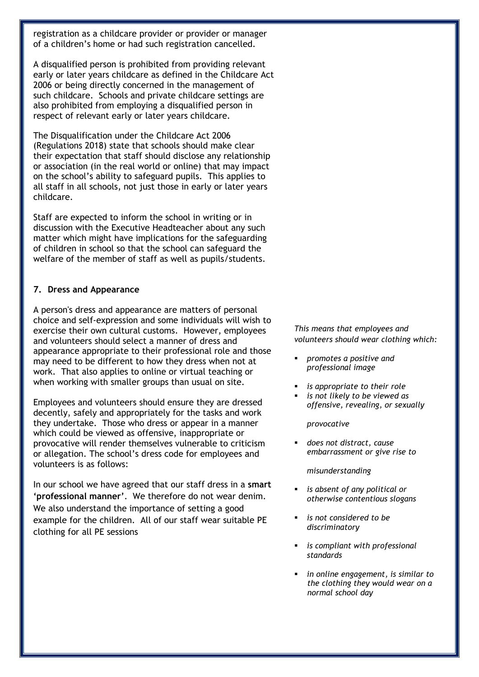registration as a childcare provider or provider or manager of a children's home or had such registration cancelled*.*

A disqualified person is prohibited from providing relevant early or later years childcare as defined in the Childcare Act 2006 or being directly concerned in the management of such childcare. Schools and private childcare settings are also prohibited from employing a disqualified person in respect of relevant early or later years childcare.

The Disqualification under the Childcare Act 2006 (Regulations 2018) state that schools should make clear their expectation that staff should disclose any relationship or association (in the real world or online) that may impact on the school's ability to safeguard pupils. This applies to all staff in all schools, not just those in early or later years childcare.

Staff are expected to inform the school in writing or in discussion with the Executive Headteacher about any such matter which might have implications for the safeguarding of children in school so that the school can safeguard the welfare of the member of staff as well as pupils/students.

#### **7. Dress and Appearance**

A person's dress and appearance are matters of personal choice and self-expression and some individuals will wish to exercise their own cultural customs. However, employees and volunteers should select a manner of dress and appearance appropriate to their professional role and those may need to be different to how they dress when not at work. That also applies to online or virtual teaching or when working with smaller groups than usual on site.

Employees and volunteers should ensure they are dressed decently, safely and appropriately for the tasks and work they undertake. Those who dress or appear in a manner which could be viewed as offensive, inappropriate or provocative will render themselves vulnerable to criticism or allegation. The school's dress code for employees and volunteers is as follows:

In our school we have agreed that our staff dress in a **smart 'professional manner'**. We therefore do not wear denim. We also understand the importance of setting a good example for the children. All of our staff wear suitable PE clothing for all PE sessions

*This means that employees and volunteers should wear clothing which:*

- *promotes a positive and professional image*
- *is appropriate to their role*
- *is not likely to be viewed as offensive, revealing, or sexually*

*provocative*

 *does not distract, cause embarrassment or give rise to* 

*misunderstanding*

- *is absent of any political or otherwise contentious slogans*
- *is not considered to be discriminatory*
- *is compliant with professional standards*
- *in online engagement, is similar to the clothing they would wear on a normal school day*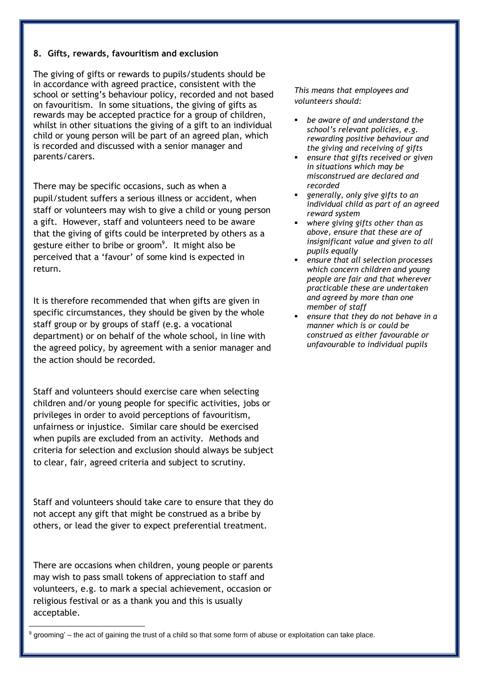#### **8. Gifts, rewards, favouritism and exclusion**

The giving of gifts or rewards to pupils/students should be in accordance with agreed practice, consistent with the school or setting's behaviour policy, recorded and not based on favouritism. In some situations, the giving of gifts as rewards may be accepted practice for a group of children, whilst in other situations the giving of a gift to an individual child or young person will be part of an agreed plan, which is recorded and discussed with a senior manager and parents/carers.

There may be specific occasions, such as when a pupil/student suffers a serious illness or accident, when staff or volunteers may wish to give a child or young person a gift. However, staff and volunteers need to be aware that the giving of gifts could be interpreted by others as a gesture either to bribe or groom<sup>9</sup>. It might also be perceived that a 'favour' of some kind is expected in return.

It is therefore recommended that when gifts are given in specific circumstances, they should be given by the whole staff group or by groups of staff (e.g. a vocational department) or on behalf of the whole school, in line with the agreed policy, by agreement with a senior manager and the action should be recorded.

Staff and volunteers should exercise care when selecting children and/or young people for specific activities, jobs or privileges in order to avoid perceptions of favouritism, unfairness or injustice. Similar care should be exercised when pupils are excluded from an activity. Methods and criteria for selection and exclusion should always be subject to clear, fair, agreed criteria and subject to scrutiny.

Staff and volunteers should take care to ensure that they do not accept any gift that might be construed as a bribe by others, or lead the giver to expect preferential treatment.

There are occasions when children, young people or parents may wish to pass small tokens of appreciation to staff and volunteers, e.g. to mark a special achievement, occasion or religious festival or as a thank you and this is usually acceptable.

*This means that employees and volunteers should:* 

- *be aware of and understand the school's relevant policies, e.g. rewarding positive behaviour and the giving and receiving of gifts*
- *ensure that gifts received or given in situations which may be misconstrued are declared and recorded*
- *generally, only give gifts to an individual child as part of an agreed reward system*
- *where giving gifts other than as above, ensure that these are of insignificant value and given to all pupils equally*
- *ensure that all selection processes which concern children and young people are fair and that wherever practicable these are undertaken and agreed by more than one member of staff*
- *ensure that they do not behave in a manner which is or could be construed as either favourable or unfavourable to individual pupils*

 $\overline{\phantom{a}}$  $9$  grooming' – the act of gaining the trust of a child so that some form of abuse or exploitation can take place.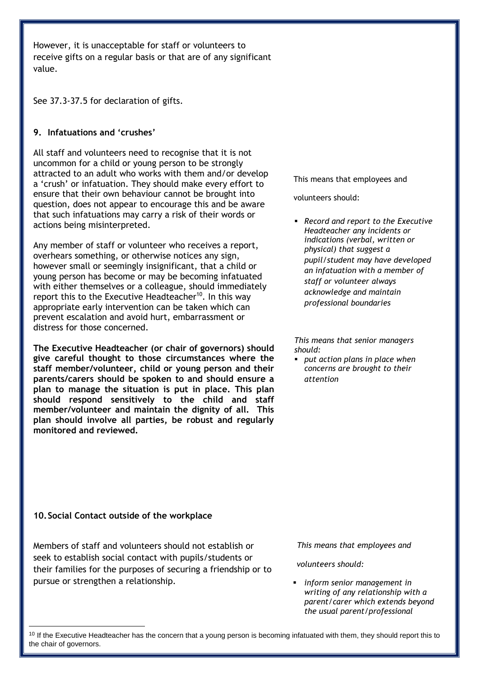However, it is unacceptable for staff or volunteers to receive gifts on a regular basis or that are of any significant value.

See 37.3-37.5 for declaration of gifts.

#### **9. Infatuations and 'crushes'**

All staff and volunteers need to recognise that it is not uncommon for a child or young person to be strongly attracted to an adult who works with them and/or develop a 'crush' or infatuation. They should make every effort to ensure that their own behaviour cannot be brought into question, does not appear to encourage this and be aware that such infatuations may carry a risk of their words or actions being misinterpreted.

Any member of staff or volunteer who receives a report, overhears something, or otherwise notices any sign, however small or seemingly insignificant, that a child or young person has become or may be becoming infatuated with either themselves or a colleague, should immediately report this to the Executive Headteacher<sup>10</sup>. In this way appropriate early intervention can be taken which can prevent escalation and avoid hurt, embarrassment or distress for those concerned.

**The Executive Headteacher (or chair of governors) should give careful thought to those circumstances where the staff member/volunteer, child or young person and their parents/carers should be spoken to and should ensure a plan to manage the situation is put in place. This plan should respond sensitively to the child and staff member/volunteer and maintain the dignity of all. This plan should involve all parties, be robust and regularly monitored and reviewed.** 

This means that employees and

volunteers should:

 *Record and report to the Executive Headteacher any incidents or indications (verbal, written or physical) that suggest a pupil/student may have developed an infatuation with a member of staff or volunteer always acknowledge and maintain professional boundaries*

*This means that senior managers should:* 

 *put action plans in place when concerns are brought to their attention* 

#### **10.Social Contact outside of the workplace**

 $\overline{\phantom{a}}$ 

Members of staff and volunteers should not establish or seek to establish social contact with pupils/students or their families for the purposes of securing a friendship or to pursue or strengthen a relationship.

*This means that employees and*

#### *volunteers should:*

 *inform senior management in writing of any relationship with a parent/carer which extends beyond the usual parent/professional* 

<sup>&</sup>lt;sup>10</sup> If the Executive Headteacher has the concern that a young person is becoming infatuated with them, they should report this to the chair of governors.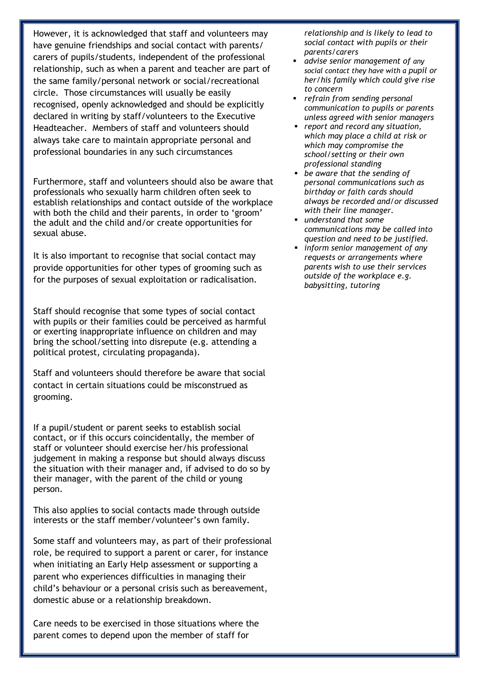However, it is acknowledged that staff and volunteers may have genuine friendships and social contact with parents/ carers of pupils/students, independent of the professional relationship, such as when a parent and teacher are part of the same family/personal network or social/recreational circle. Those circumstances will usually be easily recognised, openly acknowledged and should be explicitly declared in writing by staff/volunteers to the Executive Headteacher. Members of staff and volunteers should always take care to maintain appropriate personal and professional boundaries in any such circumstances

Furthermore, staff and volunteers should also be aware that professionals who sexually harm children often seek to establish relationships and contact outside of the workplace with both the child and their parents, in order to 'groom' the adult and the child and/or create opportunities for sexual abuse.

It is also important to recognise that social contact may provide opportunities for other types of grooming such as for the purposes of sexual exploitation or radicalisation.

Staff should recognise that some types of social contact with pupils or their families could be perceived as harmful or exerting inappropriate influence on children and may bring the school/setting into disrepute (e.g. attending a political protest, circulating propaganda).

Staff and volunteers should therefore be aware that social contact in certain situations could be misconstrued as grooming.

If a pupil/student or parent seeks to establish social contact, or if this occurs coincidentally, the member of staff or volunteer should exercise her/his professional judgement in making a response but should always discuss the situation with their manager and, if advised to do so by their manager, with the parent of the child or young person.

This also applies to social contacts made through outside interests or the staff member/volunteer's own family.

Some staff and volunteers may, as part of their professional role, be required to support a parent or carer, for instance when initiating an Early Help assessment or supporting a parent who experiences difficulties in managing their child's behaviour or a personal crisis such as bereavement, domestic abuse or a relationship breakdown.

Care needs to be exercised in those situations where the parent comes to depend upon the member of staff for

*relationship and is likely to lead to social contact with pupils or their parents/carers* 

- *advise senior management of any social contact they have with a pupil or her/his family which could give rise to concern*
- *refrain from sending personal communication to pupils or parents unless agreed with senior managers*
- *report and record any situation, which may place a child at risk or which may compromise the school/setting or their own professional standing*
- *be aware that the sending of personal communications such as birthday or faith cards should always be recorded and/or discussed with their line manager.*
- *understand that some communications may be called into question and need to be justified.*
- *inform senior management of any requests or arrangements where parents wish to use their services outside of the workplace e.g. babysitting, tutoring*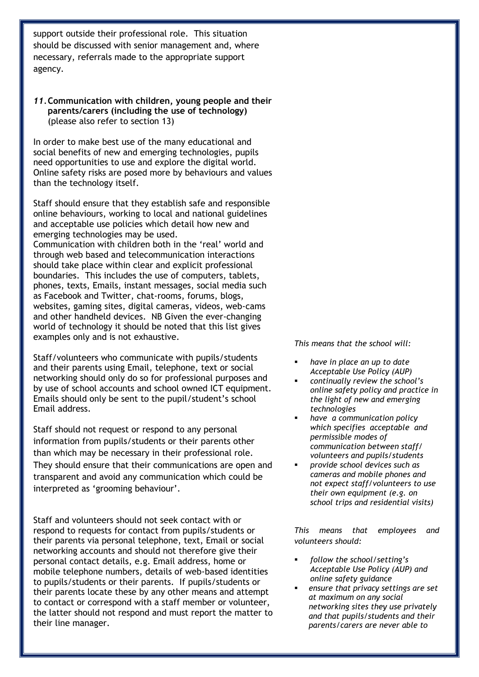support outside their professional role. This situation should be discussed with senior management and, where necessary, referrals made to the appropriate support agency.

#### *11.***Communication with children, young people and their parents/carers (including the use of technology)** (please also refer to section 13)

In order to make best use of the many educational and social benefits of new and emerging technologies, pupils need opportunities to use and explore the digital world. Online safety risks are posed more by behaviours and values than the technology itself.

Staff should ensure that they establish safe and responsible online behaviours, working to local and national guidelines and acceptable use policies which detail how new and emerging technologies may be used.

Communication with children both in the 'real' world and through web based and telecommunication interactions should take place within clear and explicit professional boundaries. This includes the use of computers, tablets, phones, texts, Emails, instant messages, social media such as Facebook and Twitter, chat-rooms, forums, blogs, websites, gaming sites, digital cameras, videos, web-cams and other handheld devices. NB Given the ever-changing world of technology it should be noted that this list gives examples only and is not exhaustive.

Staff/volunteers who communicate with pupils/students and their parents using Email, telephone, text or social networking should only do so for professional purposes and by use of school accounts and school owned ICT equipment. Emails should only be sent to the pupil/student's school Email address.

Staff should not request or respond to any personal information from pupils/students or their parents other than which may be necessary in their professional role. They should ensure that their communications are open and transparent and avoid any communication which could be interpreted as 'grooming behaviour'.

Staff and volunteers should not seek contact with or respond to requests for contact from pupils/students or their parents via personal telephone, text, Email or social networking accounts and should not therefore give their personal contact details, e.g. Email address, home or mobile telephone numbers, details of web-based identities to pupils/students or their parents. If pupils/students or their parents locate these by any other means and attempt to contact or correspond with a staff member or volunteer, the latter should not respond and must report the matter to their line manager.

*This means that the school will:*

- *have in place an up to date Acceptable Use Policy (AUP)*
- *continually review the school's online safety policy and practice in the light of new and emerging technologies*
- *have a communication policy which specifies acceptable and permissible modes of communication between staff/ volunteers and pupils/students*
- *provide school devices such as cameras and mobile phones and not expect staff/volunteers to use their own equipment (e.g. on school trips and residential visits)*

*This means that employees and volunteers should:*

- *follow the school/setting's Acceptable Use Policy (AUP) and online safety guidance*
- *ensure that privacy settings are set at maximum on any social networking sites they use privately and that pupils/students and their parents/carers are never able to*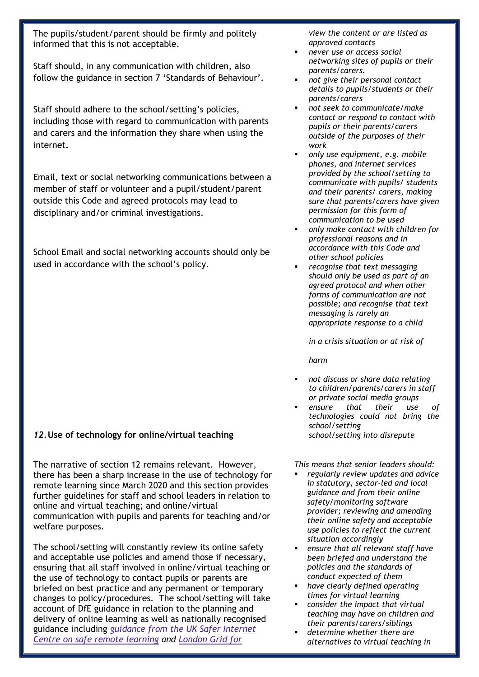The pupils/student/parent should be firmly and politely informed that this is not acceptable.

Staff should, in any communication with children, also follow the guidance in section 7 'Standards of Behaviour'.

Staff should adhere to the school/setting's policies, including those with regard to communication with parents and carers and the information they share when using the internet.

Email, text or social networking communications between a member of staff or volunteer and a pupil/student/parent outside this Code and agreed protocols may lead to disciplinary and/or criminal investigations.

School Email and social networking accounts should only be used in accordance with the school's policy.

#### *12.***Use of technology for online/virtual teaching**

The narrative of section 12 remains relevant. However, there has been a sharp increase in the use of technology for remote learning since March 2020 and this section provides further guidelines for staff and school leaders in relation to online and virtual teaching; and online/virtual communication with pupils and parents for teaching and/or welfare purposes.

The school/setting will constantly review its online safety and acceptable use policies and amend those if necessary, ensuring that all staff involved in online/virtual teaching or the use of technology to contact pupils or parents are briefed on best practice and any permanent or temporary changes to policy/procedures. The school/setting will take account of DfE guidance in relation to the planning and delivery of online learning as well as nationally recognised guidance including *[guidance](https://swgfl.org.uk/resources/safe-remote-learning/) from the UK Safer Internet Centre on safe remote [learning](https://swgfl.org.uk/resources/safe-remote-learning/) and [London](https://static.lgfl.net/LgflNet/downloads/digisafe/Safe-Lessons-by-Video-and-Livestream.pdf) Grid for*

*view the content or are listed as approved contacts*

- *never use or access social networking sites of pupils or their parents/carers.*
- *not give their personal contact details to pupils/students or their parents/carers*
- *not seek to communicate/make contact or respond to contact with pupils or their parents/carers outside of the purposes of their work*
- *only use equipment, e.g. mobile phones, and internet services provided by the school/setting to communicate with pupils/ students and their parents/ carers, making sure that parents/carers have given permission for this form of communication to be used*
- *only make contact with children for professional reasons and in accordance with this Code and other school policies*
- *recognise that text messaging should only be used as part of an agreed protocol and when other forms of communication are not possible; and recognise that text messaging is rarely an appropriate response to a child*

*in a crisis situation or at risk of* 

*harm*

- *not discuss or share data relating to children/parents/carers in staff or private social media groups*
- *ensure that their use of technologies could not bring the school/setting school/setting into disrepute*

*This means that senior leaders should:* 

- *regularly review updates and advice in statutory, sector-led and local guidance and from their online safety/monitoring software provider; reviewing and amending their online safety and acceptable use policies to reflect the current situation accordingly*
- *ensure that all relevant staff have been briefed and understand the policies and the standards of conduct expected of them*
- *have clearly defined operating times for virtual learning*
- *consider the impact that virtual teaching may have on children and their parents/carers/siblings*
- *determine whether there are alternatives to virtual teaching in*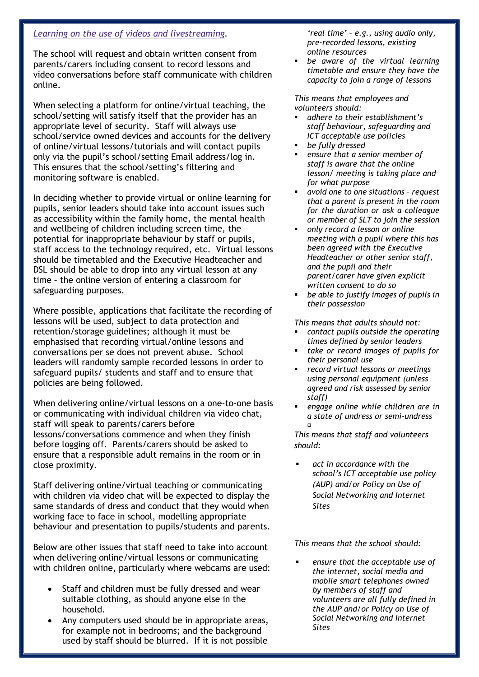#### *Learning on the use of videos and [livestreaming.](https://static.lgfl.net/LgflNet/downloads/digisafe/Safe-Lessons-by-Video-and-Livestream.pdf)*

The school will request and obtain written consent from parents/carers including consent to record lessons and video conversations before staff communicate with children online.

When selecting a platform for online/virtual teaching, the school/setting will satisfy itself that the provider has an appropriate level of security. Staff will always use school/service owned devices and accounts for the delivery of online/virtual lessons/tutorials and will contact pupils only via the pupil's school/setting Email address/log in. This ensures that the school/setting's filtering and monitoring software is enabled.

In deciding whether to provide virtual or online learning for pupils, senior leaders should take into account issues such as accessibility within the family home, the mental health and wellbeing of children including screen time, the potential for inappropriate behaviour by staff or pupils, staff access to the technology required, etc. Virtual lessons should be timetabled and the Executive Headteacher and DSL should be able to drop into any virtual lesson at any time – the online version of entering a classroom for safeguarding purposes.

Where possible, applications that facilitate the recording of lessons will be used, subject to data protection and retention/storage guidelines; although it must be emphasised that recording virtual/online lessons and conversations per se does not prevent abuse. School leaders will randomly sample recorded lessons in order to safeguard pupils/ students and staff and to ensure that policies are being followed.

When delivering online/virtual lessons on a one-to-one basis or communicating with individual children via video chat, staff will speak to parents/carers before lessons/conversations commence and when they finish before logging off. Parents/carers should be asked to ensure that a responsible adult remains in the room or in close proximity.

Staff delivering online/virtual teaching or communicating with children via video chat will be expected to display the same standards of dress and conduct that they would when working face to face in school, modelling appropriate behaviour and presentation to pupils/students and parents.

Below are other issues that staff need to take into account when delivering online/virtual lessons or communicating with children online, particularly where webcams are used:

- Staff and children must be fully dressed and wear suitable clothing, as should anyone else in the household.
- Any computers used should be in appropriate areas, for example not in bedrooms; and the background used by staff should be blurred. If it is not possible

*'real time' – e.g., using audio only, pre-recorded lessons, existing online resources* 

 *be aware of the virtual learning timetable and ensure they have the capacity to join a range of lessons* 

*This means that employees and volunteers should:* 

- *adhere to their establishment's staff behaviour, safeguarding and ICT acceptable use policies*
- *be fully dressed*
- *ensure that a senior member of staff is aware that the online lesson/ meeting is taking place and for what purpose*
- *avoid one to one situations – request that a parent is present in the room for the duration or ask a colleague or member of SLT to join the session*
- *only record a lesson or online meeting with a pupil where this has been agreed with the Executive Headteacher or other senior staff, and the pupil and their parent/carer have given explicit written consent to do so*
- *be able to justify images of pupils in their possession*

*This means that adults should not:* 

- *contact pupils outside the operating times defined by senior leaders*
- *take or record images of pupils for their personal use*
- *record virtual lessons or meetings using personal equipment (unless agreed and risk assessed by senior staff)*
- *engage online while children are in a state of undress or semi-undress*

*This means that staff and volunteers should:*

 *act in accordance with the school's ICT acceptable use policy (AUP) and/or Policy on Use of Social Networking and Internet Sites*

*This means that the school should:*

 *ensure that the acceptable use of the internet, social media and mobile smart telephones owned by members of staff and volunteers are all fully defined in the AUP and/or Policy on Use of Social Networking and Internet Sites*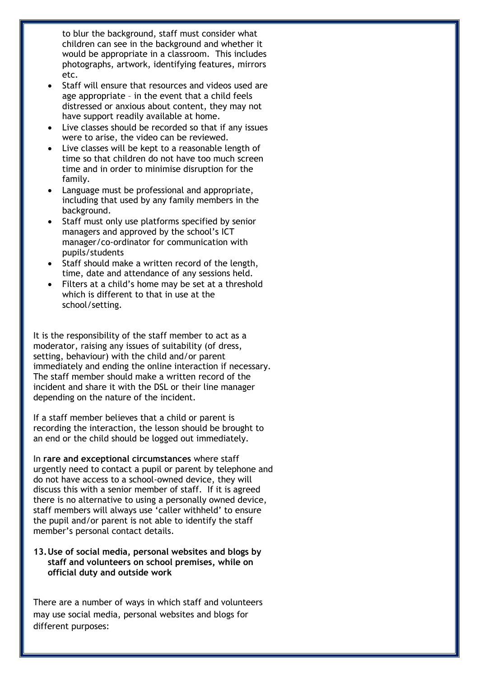to blur the background, staff must consider what children can see in the background and whether it would be appropriate in a classroom. This includes photographs, artwork, identifying features, mirrors etc.

- Staff will ensure that resources and videos used are age appropriate – in the event that a child feels distressed or anxious about content, they may not have support readily available at home.
- Live classes should be recorded so that if any issues were to arise, the video can be reviewed.
- Live classes will be kept to a reasonable length of time so that children do not have too much screen time and in order to minimise disruption for the family.
- Language must be professional and appropriate, including that used by any family members in the background.
- Staff must only use platforms specified by senior managers and approved by the school's ICT manager/co-ordinator for communication with pupils/students
- Staff should make a written record of the length, time, date and attendance of any sessions held.
- Filters at a child's home may be set at a threshold which is different to that in use at the school/setting.

It is the responsibility of the staff member to act as a moderator, raising any issues of suitability (of dress, setting, behaviour) with the child and/or parent immediately and ending the online interaction if necessary. The staff member should make a written record of the incident and share it with the DSL or their line manager depending on the nature of the incident.

If a staff member believes that a child or parent is recording the interaction, the lesson should be brought to an end or the child should be logged out immediately.

In **rare and exceptional circumstances** where staff urgently need to contact a pupil or parent by telephone and do not have access to a school-owned device, they will discuss this with a senior member of staff. If it is agreed there is no alternative to using a personally owned device, staff members will always use 'caller withheld' to ensure the pupil and/or parent is not able to identify the staff member's personal contact details.

#### **13.Use of social media, personal websites and blogs by staff and volunteers on school premises, while on official duty and outside work**

There are a number of ways in which staff and volunteers may use social media, personal websites and blogs for different purposes: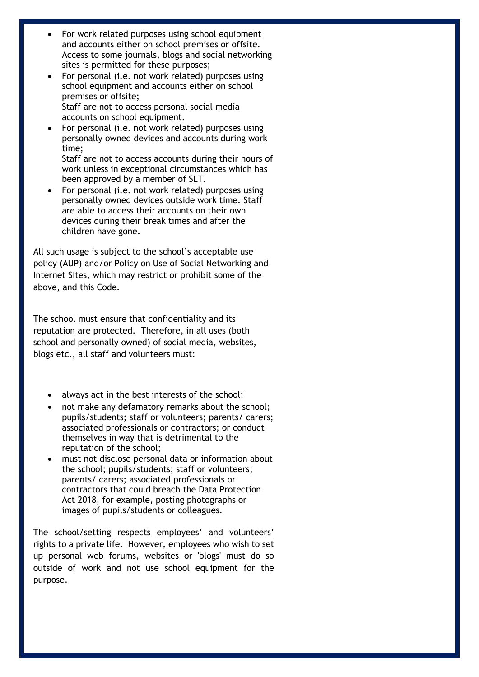- For work related purposes using school equipment and accounts either on school premises or offsite. Access to some journals, blogs and social networking sites is permitted for these purposes;
- For personal (i.e. not work related) purposes using school equipment and accounts either on school premises or offsite; Staff are not to access personal social media accounts on school equipment.
- For personal (i.e. not work related) purposes using personally owned devices and accounts during work time;

Staff are not to access accounts during their hours of work unless in exceptional circumstances which has been approved by a member of SLT.

 For personal (i.e. not work related) purposes using personally owned devices outside work time. Staff are able to access their accounts on their own devices during their break times and after the children have gone.

All such usage is subject to the school's acceptable use policy (AUP) and/or Policy on Use of Social Networking and Internet Sites, which may restrict or prohibit some of the above, and this Code.

The school must ensure that confidentiality and its reputation are protected. Therefore, in all uses (both school and personally owned) of social media, websites, blogs etc., all staff and volunteers must:

- always act in the best interests of the school;
- not make any defamatory remarks about the school; pupils/students; staff or volunteers; parents/ carers; associated professionals or contractors; or conduct themselves in way that is detrimental to the reputation of the school;
- must not disclose personal data or information about the school; pupils/students; staff or volunteers; parents/ carers; associated professionals or contractors that could breach the Data Protection Act 2018, for example, posting photographs or images of pupils/students or colleagues.

The school/setting respects employees' and volunteers' rights to a private life. However, employees who wish to set up personal web forums, websites or 'blogs' must do so outside of work and not use school equipment for the purpose.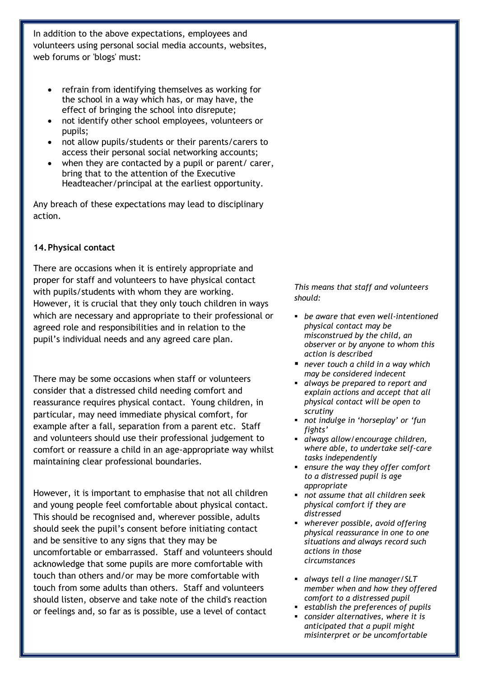In addition to the above expectations, employees and volunteers using personal social media accounts, websites, web forums or 'blogs' must:

- refrain from identifying themselves as working for the school in a way which has, or may have, the effect of bringing the school into disrepute;
- not identify other school employees, volunteers or pupils;
- not allow pupils/students or their parents/carers to access their personal social networking accounts;
- when they are contacted by a pupil or parent/ carer, bring that to the attention of the Executive Headteacher/principal at the earliest opportunity.

Any breach of these expectations may lead to disciplinary action.

#### **14.Physical contact**

There are occasions when it is entirely appropriate and proper for staff and volunteers to have physical contact with pupils/students with whom they are working. However, it is crucial that they only touch children in ways which are necessary and appropriate to their professional or agreed role and responsibilities and in relation to the pupil's individual needs and any agreed care plan.

There may be some occasions when staff or volunteers consider that a distressed child needing comfort and reassurance requires physical contact. Young children, in particular, may need immediate physical comfort, for example after a fall, separation from a parent etc. Staff and volunteers should use their professional judgement to comfort or reassure a child in an age-appropriate way whilst maintaining clear professional boundaries.

However, it is important to emphasise that not all children and young people feel comfortable about physical contact. This should be recognised and, wherever possible, adults should seek the pupil's consent before initiating contact and be sensitive to any signs that they may be uncomfortable or embarrassed. Staff and volunteers should acknowledge that some pupils are more comfortable with touch than others and/or may be more comfortable with touch from some adults than others. Staff and volunteers should listen, observe and take note of the child's reaction or feelings and, so far as is possible, use a level of contact

*This means that staff and volunteers should:*

- *be aware that even well-intentioned physical contact may be misconstrued by the child, an observer or by anyone to whom this action is described*
- *never touch a child in a way which may be considered indecent*
- *always be prepared to report and explain actions and accept that all physical contact will be open to scrutiny*
- *not indulge in 'horseplay' or 'fun fights'*
- *always allow/encourage children, where able, to undertake self-care tasks independently*
- *ensure the way they offer comfort to a distressed pupil is age appropriate*
- *not assume that all children seek physical comfort if they are distressed*
- *wherever possible, avoid offering physical reassurance in one to one situations and always record such actions in those circumstances*
- *always tell a line manager/SLT member when and how they offered comfort to a distressed pupil*
- *establish the preferences of pupils*
- *consider alternatives, where it is anticipated that a pupil might misinterpret or be uncomfortable*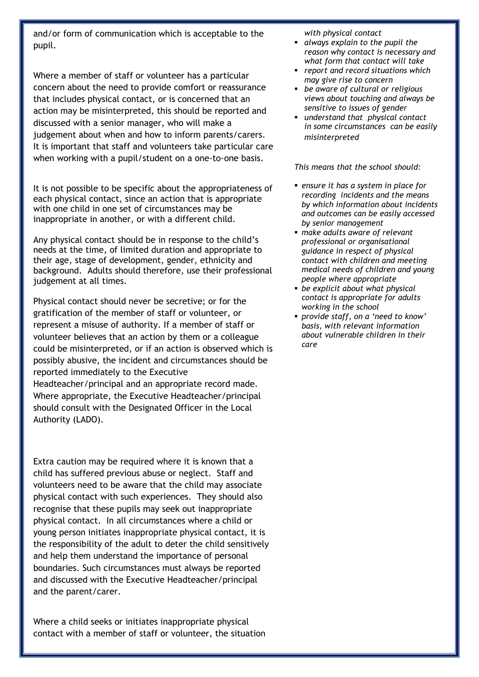and/or form of communication which is acceptable to the pupil.

Where a member of staff or volunteer has a particular concern about the need to provide comfort or reassurance that includes physical contact, or is concerned that an action may be misinterpreted, this should be reported and discussed with a senior manager, who will make a judgement about when and how to inform parents/carers. It is important that staff and volunteers take particular care when working with a pupil/student on a one-to-one basis.

It is not possible to be specific about the appropriateness of each physical contact, since an action that is appropriate with one child in one set of circumstances may be inappropriate in another, or with a different child.

Any physical contact should be in response to the child's needs at the time, of limited duration and appropriate to their age, stage of development, gender, ethnicity and background. Adults should therefore, use their professional judgement at all times.

Physical contact should never be secretive; or for the gratification of the member of staff or volunteer, or represent a misuse of authority. If a member of staff or volunteer believes that an action by them or a colleague could be misinterpreted, or if an action is observed which is possibly abusive, the incident and circumstances should be reported immediately to the Executive Headteacher/principal and an appropriate record made. Where appropriate, the Executive Headteacher/principal should consult with the Designated Officer in the Local Authority (LADO).

Extra caution may be required where it is known that a child has suffered previous abuse or neglect. Staff and volunteers need to be aware that the child may associate physical contact with such experiences. They should also recognise that these pupils may seek out inappropriate physical contact. In all circumstances where a child or young person initiates inappropriate physical contact, it is the responsibility of the adult to deter the child sensitively and help them understand the importance of personal boundaries. Such circumstances must always be reported and discussed with the Executive Headteacher/principal and the parent/carer.

Where a child seeks or initiates inappropriate physical contact with a member of staff or volunteer, the situation *with physical contact* 

- *always explain to the pupil the reason why contact is necessary and what form that contact will take*
- *report and record situations which may give rise to concern*
- *be aware of cultural or religious views about touching and always be sensitive to issues of gender*
- *understand that physical contact in some circumstances can be easily misinterpreted*

*This means that the school should:*

- *ensure it has a system in place for recording incidents and the means by which information about incidents and outcomes can be easily accessed by senior management*
- *make adults aware of relevant professional or organisational guidance in respect of physical contact with children and meeting medical needs of children and young people where appropriate*
- *be explicit about what physical contact is appropriate for adults working in the school*
- *provide staff, on a 'need to know' basis, with relevant information about vulnerable children in their care*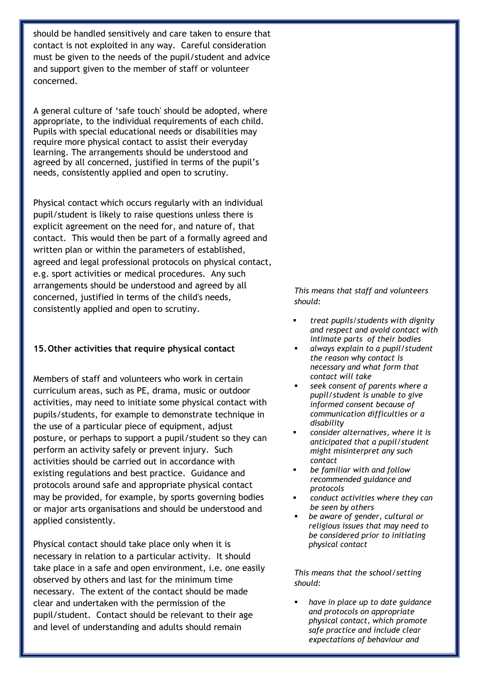should be handled sensitively and care taken to ensure that contact is not exploited in any way. Careful consideration must be given to the needs of the pupil/student and advice and support given to the member of staff or volunteer concerned.

A general culture of 'safe touch' should be adopted, where appropriate, to the individual requirements of each child. Pupils with special educational needs or disabilities may require more physical contact to assist their everyday learning. The arrangements should be understood and agreed by all concerned, justified in terms of the pupil's needs, consistently applied and open to scrutiny.

Physical contact which occurs regularly with an individual pupil/student is likely to raise questions unless there is explicit agreement on the need for, and nature of, that contact. This would then be part of a formally agreed and written plan or within the parameters of established, agreed and legal professional protocols on physical contact, e.g. sport activities or medical procedures. Any such arrangements should be understood and agreed by all concerned, justified in terms of the child's needs, consistently applied and open to scrutiny.

#### **15.Other activities that require physical contact**

Members of staff and volunteers who work in certain curriculum areas, such as PE, drama, music or outdoor activities, may need to initiate some physical contact with pupils/students, for example to demonstrate technique in the use of a particular piece of equipment, adjust posture, or perhaps to support a pupil/student so they can perform an activity safely or prevent injury. Such activities should be carried out in accordance with existing regulations and best practice. Guidance and protocols around safe and appropriate physical contact may be provided, for example, by sports governing bodies or major arts organisations and should be understood and applied consistently.

Physical contact should take place only when it is necessary in relation to a particular activity. It should take place in a safe and open environment, i.e. one easily observed by others and last for the minimum time necessary. The extent of the contact should be made clear and undertaken with the permission of the pupil/student. Contact should be relevant to their age and level of understanding and adults should remain

*This means that staff and volunteers should:*

- *treat pupils/students with dignity and respect and avoid contact with intimate parts of their bodies*
- *always explain to a pupil/student the reason why contact is necessary and what form that contact will take*
- *seek consent of parents where a pupil/student is unable to give informed consent because of communication difficulties or a disability*
- *consider alternatives, where it is anticipated that a pupil/student might misinterpret any such contact*
- *be familiar with and follow recommended guidance and protocols*
- *conduct activities where they can be seen by others*
- *be aware of gender, cultural or religious issues that may need to be considered prior to initiating physical contact*

*This means that the school/setting should:*

 *have in place up to date guidance and protocols on appropriate physical contact, which promote safe practice and include clear expectations of behaviour and*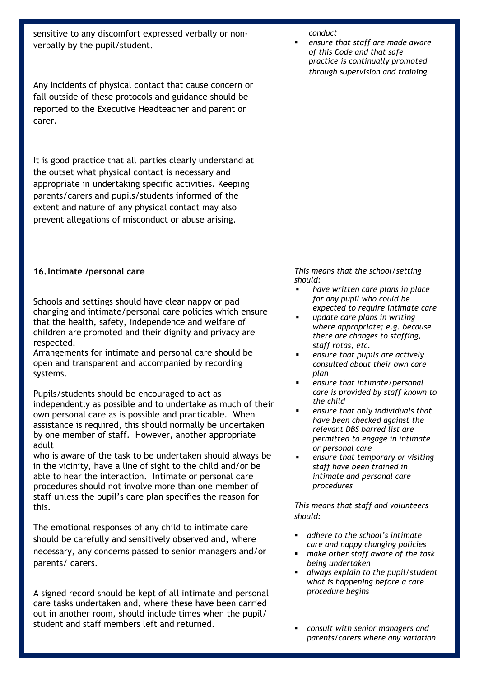sensitive to any discomfort expressed verbally or nonverbally by the pupil/student.

Any incidents of physical contact that cause concern or fall outside of these protocols and guidance should be reported to the Executive Headteacher and parent or carer.

It is good practice that all parties clearly understand at the outset what physical contact is necessary and appropriate in undertaking specific activities. Keeping parents/carers and pupils/students informed of the extent and nature of any physical contact may also prevent allegations of misconduct or abuse arising.

#### **16.Intimate /personal care**

Schools and settings should have clear nappy or pad changing and intimate/personal care policies which ensure that the health, safety, independence and welfare of children are promoted and their dignity and privacy are respected.

Arrangements for intimate and personal care should be open and transparent and accompanied by recording systems.

Pupils/students should be encouraged to act as independently as possible and to undertake as much of their own personal care as is possible and practicable. When assistance is required, this should normally be undertaken by one member of staff. However, another appropriate adult

who is aware of the task to be undertaken should always be in the vicinity, have a line of sight to the child and/or be able to hear the interaction. Intimate or personal care procedures should not involve more than one member of staff unless the pupil's care plan specifies the reason for this.

The emotional responses of any child to intimate care should be carefully and sensitively observed and, where necessary, any concerns passed to senior managers and/or parents/ carers.

A signed record should be kept of all intimate and personal care tasks undertaken and, where these have been carried out in another room, should include times when the pupil/ student and staff members left and returned.

#### *conduct*

 *ensure that staff are made aware of this Code and that safe practice is continually promoted through supervision and training*

*This means that the school/setting should:* 

- *have written care plans in place for any pupil who could be expected to require intimate care*
- *update care plans in writing where appropriate; e.g. because there are changes to staffing, staff rotas, etc.*
- *ensure that pupils are actively consulted about their own care plan*
- *ensure that intimate/personal care is provided by staff known to the child*
- *ensure that only individuals that have been checked against the relevant DBS barred list are permitted to engage in intimate or personal care*
- *ensure that temporary or visiting staff have been trained in intimate and personal care procedures*

*This means that staff and volunteers should:*

- *adhere to the school's intimate care and nappy changing policies*
- *make other staff aware of the task being undertaken*
- *always explain to the pupil/student what is happening before a care procedure begins*
- *consult with senior managers and parents/carers where any variation*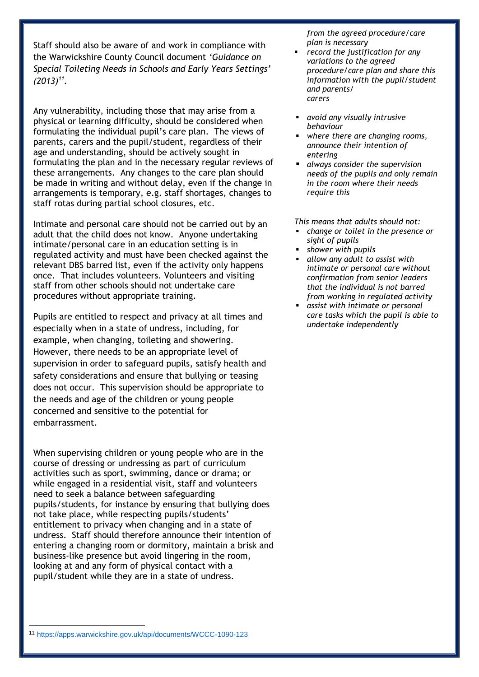Staff should also be aware of and work in compliance with the Warwickshire County Council document *'Guidance on Special Toileting Needs in Schools and Early Years Settings' (2013)<sup>11</sup> .*

Any vulnerability, including those that may arise from a physical or learning difficulty, should be considered when formulating the individual pupil's care plan. The views of parents, carers and the pupil/student, regardless of their age and understanding, should be actively sought in formulating the plan and in the necessary regular reviews of these arrangements. Any changes to the care plan should be made in writing and without delay, even if the change in arrangements is temporary, e.g. staff shortages, changes to staff rotas during partial school closures, etc.

Intimate and personal care should not be carried out by an adult that the child does not know. Anyone undertaking intimate/personal care in an education setting is in regulated activity and must have been checked against the relevant DBS barred list, even if the activity only happens once. That includes volunteers. Volunteers and visiting staff from other schools should not undertake care procedures without appropriate training.

Pupils are entitled to respect and privacy at all times and especially when in a state of undress, including, for example, when changing, toileting and showering. However, there needs to be an appropriate level of supervision in order to safeguard pupils, satisfy health and safety considerations and ensure that bullying or teasing does not occur. This supervision should be appropriate to the needs and age of the children or young people concerned and sensitive to the potential for embarrassment.

When supervising children or young people who are in the course of dressing or undressing as part of curriculum activities such as sport, swimming, dance or drama; or while engaged in a residential visit, staff and volunteers need to seek a balance between safeguarding pupils/students, for instance by ensuring that bullying does not take place, while respecting pupils/students' entitlement to privacy when changing and in a state of undress. Staff should therefore announce their intention of entering a changing room or dormitory, maintain a brisk and business-like presence but avoid lingering in the room, looking at and any form of physical contact with a pupil/student while they are in a state of undress.

*from the agreed procedure/care plan is necessary*

- *record the justification for any variations to the agreed procedure/care plan and share this information with the pupil/student and parents/ carers*
- *avoid any visually intrusive behaviour*
- *where there are changing rooms, announce their intention of entering*
- *always consider the supervision needs of the pupils and only remain in the room where their needs require this*

*This means that adults should not:* 

- *change or toilet in the presence or sight of pupils*
- *shower with pupils*
- *allow any adult to assist with intimate or personal care without confirmation from senior leaders that the individual is not barred from working in regulated activity*
- *assist with intimate or personal care tasks which the pupil is able to undertake independently*

<sup>1</sup> <sup>11</sup> <https://apps.warwickshire.gov.uk/api/documents/WCCC-1090-123>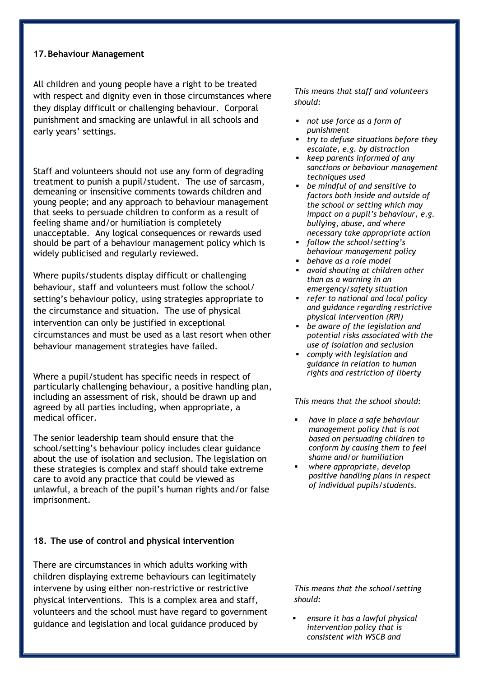#### **17.Behaviour Management**

All children and young people have a right to be treated with respect and dignity even in those circumstances where they display difficult or challenging behaviour. Corporal punishment and smacking are unlawful in all schools and early years' settings.

Staff and volunteers should not use any form of degrading treatment to punish a pupil/student. The use of sarcasm, demeaning or insensitive comments towards children and young people; and any approach to behaviour management that seeks to persuade children to conform as a result of feeling shame and/or humiliation is completely unacceptable. Any logical consequences or rewards used should be part of a behaviour management policy which is widely publicised and regularly reviewed.

Where pupils/students display difficult or challenging behaviour, staff and volunteers must follow the school/ setting's behaviour policy, using strategies appropriate to the circumstance and situation. The use of physical intervention can only be justified in exceptional circumstances and must be used as a last resort when other behaviour management strategies have failed.

Where a pupil/student has specific needs in respect of particularly challenging behaviour, a positive handling plan, including an assessment of risk, should be drawn up and agreed by all parties including, when appropriate, a medical officer.

The senior leadership team should ensure that the school/setting's behaviour policy includes clear guidance about the use of isolation and seclusion. The legislation on these strategies is complex and staff should take extreme care to avoid any practice that could be viewed as unlawful, a breach of the pupil's human rights and/or false imprisonment.

#### **18. The use of control and physical intervention**

There are circumstances in which adults working with children displaying extreme behaviours can legitimately intervene by using either non-restrictive or restrictive physical interventions. This is a complex area and staff, volunteers and the school must have regard to government guidance and legislation and local guidance produced by

*This means that staff and volunteers should:*

- *not use force as a form of punishment*
- *try to defuse situations before they escalate, e.g. by distraction*
- *keep parents informed of any sanctions or behaviour management techniques used*
- *be mindful of and sensitive to factors both inside and outside of the school or setting which may impact on a pupil's behaviour, e.g. bullying, abuse, and where necessary take appropriate action*
- *follow the school/setting's behaviour management policy*
- *behave as a role model*
- *avoid shouting at children other than as a warning in an emergency/safety situation*
- *refer to national and local policy and guidance regarding restrictive physical intervention (RPI)*
- *be aware of the legislation and potential risks associated with the use of isolation and seclusion*
- *comply with legislation and guidance in relation to human rights and restriction of liberty*

*This means that the school should:*

- *have in place a safe behaviour management policy that is not based on persuading children to conform by causing them to feel shame and/or humiliation*
- *where appropriate, develop positive handling plans in respect of individual pupils/students.*

*This means that the school/setting should:*

 *ensure it has a lawful physical intervention policy that is consistent with WSCB and*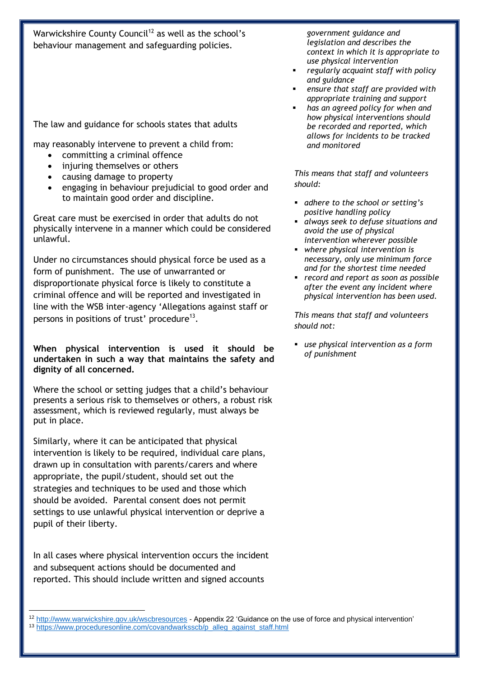Warwickshire County Council<sup>12</sup> as well as the school's behaviour management and safeguarding policies.

The law and guidance for schools states that adults

may reasonably intervene to prevent a child from:

- committing a criminal offence
- injuring themselves or others
- causing damage to property
- engaging in behaviour prejudicial to good order and to maintain good order and discipline.

Great care must be exercised in order that adults do not physically intervene in a manner which could be considered unlawful.

Under no circumstances should physical force be used as a form of punishment. The use of unwarranted or disproportionate physical force is likely to constitute a criminal offence and will be reported and investigated in line with the WSB inter-agency 'Allegations against staff or persons in positions of trust' procedure<sup>13</sup>.

**When physical intervention is used it should be undertaken in such a way that maintains the safety and dignity of all concerned.**

Where the school or setting judges that a child's behaviour presents a serious risk to themselves or others, a robust risk assessment, which is reviewed regularly, must always be put in place.

Similarly, where it can be anticipated that physical intervention is likely to be required, individual care plans, drawn up in consultation with parents/carers and where appropriate, the pupil/student, should set out the strategies and techniques to be used and those which should be avoided. Parental consent does not permit settings to use unlawful physical intervention or deprive a pupil of their liberty.

In all cases where physical intervention occurs the incident and subsequent actions should be documented and reported. This should include written and signed accounts

*government guidance and legislation and describes the context in which it is appropriate to use physical intervention* 

- *regularly acquaint staff with policy and guidance*
- *ensure that staff are provided with appropriate training and support*
- *has an agreed policy for when and how physical interventions should be recorded and reported, which allows for incidents to be tracked and monitored*

*This means that staff and volunteers should:*

- *adhere to the school or setting's positive handling policy*
- *always seek to defuse situations and avoid the use of physical intervention wherever possible*
- *where physical intervention is necessary, only use minimum force and for the shortest time needed*
- *record and report as soon as possible after the event any incident where physical intervention has been used.*

*This means that staff and volunteers should not:*

 *use physical intervention as a form of punishment* 

<sup>1</sup> 12 <http://www.warwickshire.gov.uk/wscbresources> - Appendix 22 'Guidance on the use of force and physical intervention' 13 [https://www.proceduresonline.com/covandwarksscb/p\\_alleg\\_against\\_staff.html](https://www.proceduresonline.com/covandwarksscb/p_alleg_against_staff.html)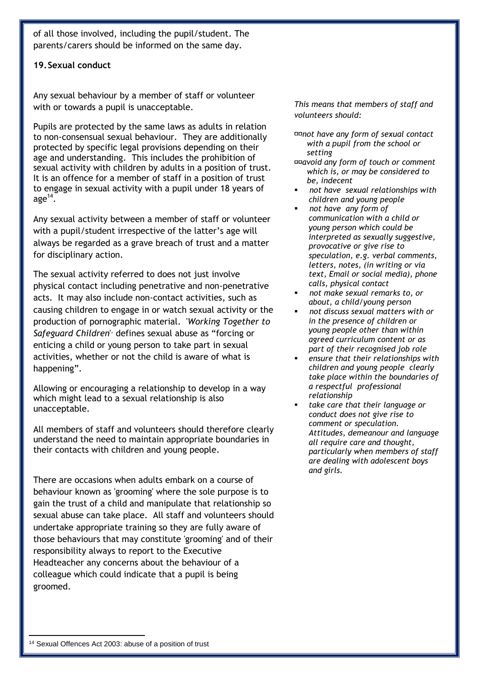of all those involved, including the pupil/student. The parents/carers should be informed on the same day.

**19.Sexual conduct**

Any sexual behaviour by a member of staff or volunteer with or towards a pupil is unacceptable.

Pupils are protected by the same laws as adults in relation to non-consensual sexual behaviour. They are additionally protected by specific legal provisions depending on their age and understanding. This includes the prohibition of sexual activity with children by adults in a position of trust. It is an offence for a member of staff in a position of trust to engage in sexual activity with a pupil under 18 years of  $age^{14}$ .

Any sexual activity between a member of staff or volunteer with a pupil/student irrespective of the latter's age will always be regarded as a grave breach of trust and a matter for disciplinary action.

The sexual activity referred to does not just involve physical contact including penetrative and non-penetrative acts. It may also include non-contact activities, such as causing children to engage in or watch sexual activity or the production of pornographic material. '*Working Together to* Safeguard Children<sup>1,</sup> defines sexual abuse as "forcing or enticing a child or young person to take part in sexual activities, whether or not the child is aware of what is happening".

Allowing or encouraging a relationship to develop in a way which might lead to a sexual relationship is also unacceptable.

All members of staff and volunteers should therefore clearly understand the need to maintain appropriate boundaries in their contacts with children and young people.

There are occasions when adults embark on a course of behaviour known as 'grooming' where the sole purpose is to gain the trust of a child and manipulate that relationship so sexual abuse can take place. All staff and volunteers should undertake appropriate training so they are fully aware of those behaviours that may constitute 'grooming' and of their responsibility always to report to the Executive Headteacher any concerns about the behaviour of a colleague which could indicate that a pupil is being groomed.

*This means that members of staff and volunteers should:*

*not have any form of sexual contact with a pupil from the school or setting* 

- *avoid any form of touch or comment which is, or may be considered to be, indecent*
- *not have sexual relationships with children and young people*
- *not have any form of communication with a child or young person which could be interpreted as sexually suggestive, provocative or give rise to speculation, e.g. verbal comments, letters, notes, (in writing or via text, Email or social media), phone calls, physical contact*
- *not make sexual remarks to, or about, a child/young person*
- *not discuss sexual matters with or in the presence of children or young people other than within agreed curriculum content or as part of their recognised job role*
- *ensure that their relationships with children and young people clearly take place within the boundaries of a respectful professional relationship*
- *take care that their language or conduct does not give rise to comment or speculation. Attitudes, demeanour and language all require care and thought, particularly when members of staff are dealing with adolescent boys and girls.*

1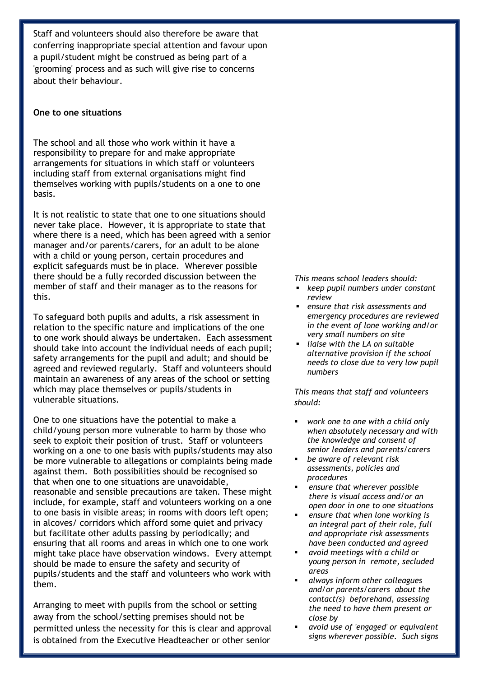Staff and volunteers should also therefore be aware that conferring inappropriate special attention and favour upon a pupil/student might be construed as being part of a 'grooming' process and as such will give rise to concerns about their behaviour.

#### **One to one situations**

The school and all those who work within it have a responsibility to prepare for and make appropriate arrangements for situations in which staff or volunteers including staff from external organisations might find themselves working with pupils/students on a one to one basis.

It is not realistic to state that one to one situations should never take place. However, it is appropriate to state that where there is a need, which has been agreed with a senior manager and/or parents/carers, for an adult to be alone with a child or young person, certain procedures and explicit safeguards must be in place. Wherever possible there should be a fully recorded discussion between the member of staff and their manager as to the reasons for this.

To safeguard both pupils and adults, a risk assessment in relation to the specific nature and implications of the one to one work should always be undertaken. Each assessment should take into account the individual needs of each pupil; safety arrangements for the pupil and adult; and should be agreed and reviewed regularly. Staff and volunteers should maintain an awareness of any areas of the school or setting which may place themselves or pupils/students in vulnerable situations.

One to one situations have the potential to make a child/young person more vulnerable to harm by those who seek to exploit their position of trust. Staff or volunteers working on a one to one basis with pupils/students may also be more vulnerable to allegations or complaints being made against them. Both possibilities should be recognised so that when one to one situations are unavoidable, reasonable and sensible precautions are taken. These might include, for example, staff and volunteers working on a one to one basis in visible areas; in rooms with doors left open; in alcoves/ corridors which afford some quiet and privacy but facilitate other adults passing by periodically; and ensuring that all rooms and areas in which one to one work might take place have observation windows. Every attempt should be made to ensure the safety and security of pupils/students and the staff and volunteers who work with them.

Arranging to meet with pupils from the school or setting away from the school/setting premises should not be permitted unless the necessity for this is clear and approval is obtained from the Executive Headteacher or other senior

*This means school leaders should:* 

- *keep pupil numbers under constant review*
- *ensure that risk assessments and emergency procedures are reviewed in the event of lone working and/or very small numbers on site*
- *liaise with the LA on suitable alternative provision if the school needs to close due to very low pupil numbers*

*This means that staff and volunteers should:*

- *work one to one with a child only when absolutely necessary and with the knowledge and consent of senior leaders and parents/carers*
- *be aware of relevant risk assessments, policies and procedures*
- *ensure that wherever possible there is visual access and/or an open door in one to one situations*
- *ensure that when lone working is an integral part of their role, full and appropriate risk assessments have been conducted and agreed*
- *avoid meetings with a child or young person in remote, secluded areas*
- *always inform other colleagues and/or parents/carers about the contact(s) beforehand, assessing the need to have them present or close by*
- *avoid use of 'engaged' or equivalent signs wherever possible. Such signs*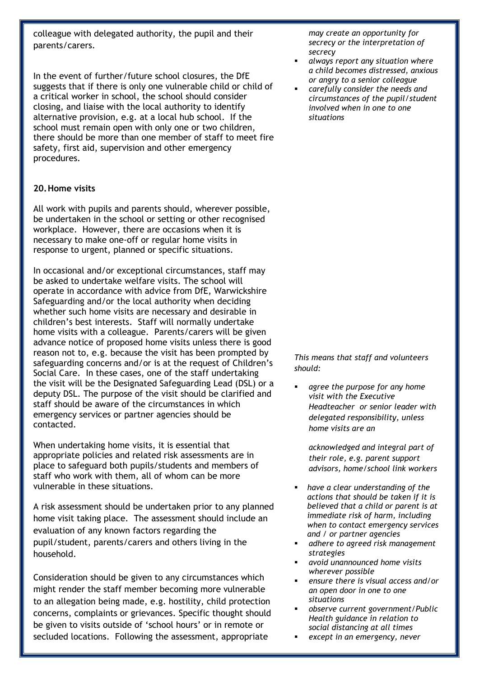colleague with delegated authority, the pupil and their parents/carers.

In the event of further/future school closures, the DfE suggests that if there is only one vulnerable child or child of a critical worker in school, the school should consider closing, and liaise with the local authority to identify alternative provision, e.g. at a local hub school. If the school must remain open with only one or two children, there should be more than one member of staff to meet fire safety, first aid, supervision and other emergency procedures.

#### **20.Home visits**

All work with pupils and parents should, wherever possible, be undertaken in the school or setting or other recognised workplace. However, there are occasions when it is necessary to make one-off or regular home visits in response to urgent, planned or specific situations.

In occasional and/or exceptional circumstances, staff may be asked to undertake welfare visits. The school will operate in accordance with advice from DfE, Warwickshire Safeguarding and/or the local authority when deciding whether such home visits are necessary and desirable in children's best interests. Staff will normally undertake home visits with a colleague. Parents/carers will be given advance notice of proposed home visits unless there is good reason not to, e.g. because the visit has been prompted by safeguarding concerns and/or is at the request of Children's Social Care. In these cases, one of the staff undertaking the visit will be the Designated Safeguarding Lead (DSL) or a deputy DSL. The purpose of the visit should be clarified and staff should be aware of the circumstances in which emergency services or partner agencies should be contacted.

When undertaking home visits, it is essential that appropriate policies and related risk assessments are in place to safeguard both pupils/students and members of staff who work with them, all of whom can be more vulnerable in these situations.

A risk assessment should be undertaken prior to any planned home visit taking place. The assessment should include an evaluation of any known factors regarding the pupil/student, parents/carers and others living in the household.

Consideration should be given to any circumstances which might render the staff member becoming more vulnerable to an allegation being made, e.g. hostility, child protection concerns, complaints or grievances. Specific thought should be given to visits outside of 'school hours' or in remote or secluded locations. Following the assessment, appropriate

*may create an opportunity for secrecy or the interpretation of secrecy*

- *always report any situation where a child becomes distressed, anxious or angry to a senior colleague*
- *carefully consider the needs and circumstances of the pupil/student involved when in one to one situations*

*This means that staff and volunteers should:* 

 *agree the purpose for any home visit with the Executive Headteacher or senior leader with delegated responsibility, unless home visits are an* 

*acknowledged and integral part of their role, e.g. parent support advisors, home/school link workers*

- *have a clear understanding of the actions that should be taken if it is believed that a child or parent is at immediate risk of harm, including when to contact emergency services and / or partner agencies*
- *adhere to agreed risk management strategies*
- *avoid unannounced home visits wherever possible*
- *ensure there is visual access and/or an open door in one to one situations*
- *observe current government/Public Health guidance in relation to social distancing at all times*
- *except in an emergency, never*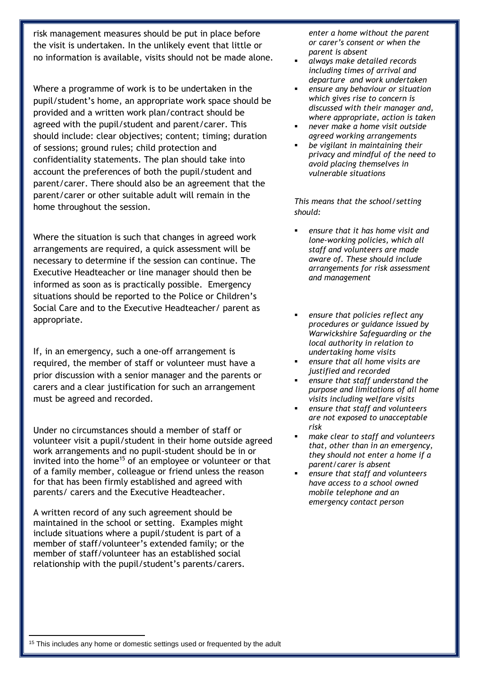risk management measures should be put in place before the visit is undertaken. In the unlikely event that little or no information is available, visits should not be made alone.

Where a programme of work is to be undertaken in the pupil/student's home, an appropriate work space should be provided and a written work plan/contract should be agreed with the pupil/student and parent/carer. This should include: clear objectives; content; timing; duration of sessions; ground rules; child protection and confidentiality statements. The plan should take into account the preferences of both the pupil/student and parent/carer. There should also be an agreement that the parent/carer or other suitable adult will remain in the home throughout the session.

Where the situation is such that changes in agreed work arrangements are required, a quick assessment will be necessary to determine if the session can continue. The Executive Headteacher or line manager should then be informed as soon as is practically possible. Emergency situations should be reported to the Police or Children's Social Care and to the Executive Headteacher/ parent as appropriate.

If, in an emergency, such a one-off arrangement is required, the member of staff or volunteer must have a prior discussion with a senior manager and the parents or carers and a clear justification for such an arrangement must be agreed and recorded.

Under no circumstances should a member of staff or volunteer visit a pupil/student in their home outside agreed work arrangements and no pupil-student should be in or invited into the home<sup>15</sup> of an employee or volunteer or that of a family member, colleague or friend unless the reason for that has been firmly established and agreed with parents/ carers and the Executive Headteacher.

A written record of any such agreement should be maintained in the school or setting. Examples might include situations where a pupil/student is part of a member of staff/volunteer's extended family; or the member of staff/volunteer has an established social relationship with the pupil/student's parents/carers. *enter a home without the parent or carer's consent or when the parent is absent* 

- *always make detailed records including times of arrival and departure and work undertaken*
- *ensure any behaviour or situation which gives rise to concern is discussed with their manager and, where appropriate, action is taken*
- *never make a home visit outside agreed working arrangements*
- *be vigilant in maintaining their privacy and mindful of the need to avoid placing themselves in vulnerable situations*

*This means that the school/setting should:*

- *ensure that it has home visit and lone-working policies, which all staff and volunteers are made aware of. These should include arrangements for risk assessment and management*
- *ensure that policies reflect any procedures or guidance issued by Warwickshire Safeguarding or the local authority in relation to undertaking home visits*
- *ensure that all home visits are justified and recorded*
- *ensure that staff understand the purpose and limitations of all home visits including welfare visits*
- *ensure that staff and volunteers are not exposed to unacceptable risk*
- *make clear to staff and volunteers that, other than in an emergency, they should not enter a home if a parent/carer is absent*
- *ensure that staff and volunteers have access to a school owned mobile telephone and an emergency contact person*

1

<sup>&</sup>lt;sup>15</sup> This includes any home or domestic settings used or frequented by the adult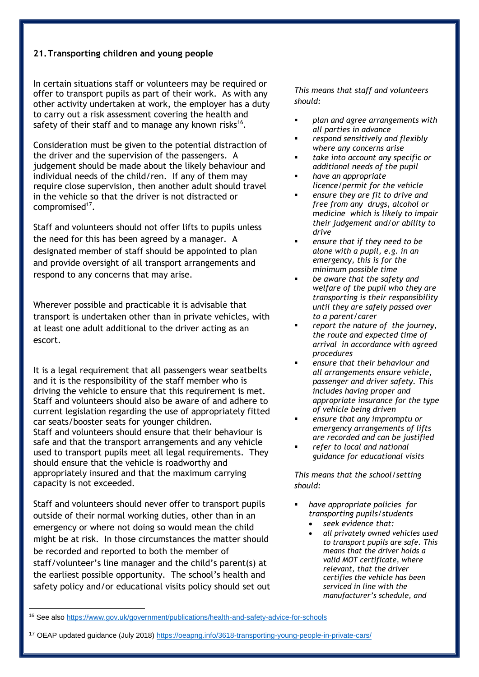#### **21.Transporting children and young people**

In certain situations staff or volunteers may be required or offer to transport pupils as part of their work. As with any other activity undertaken at work, the employer has a duty to carry out a risk assessment covering the health and safety of their staff and to manage any known risks<sup>16</sup>.

Consideration must be given to the potential distraction of the driver and the supervision of the passengers. A judgement should be made about the likely behaviour and individual needs of the child/ren. If any of them may require close supervision, then another adult should travel in the vehicle so that the driver is not distracted or compromised<sup>17</sup>.

Staff and volunteers should not offer lifts to pupils unless the need for this has been agreed by a manager. A designated member of staff should be appointed to plan and provide oversight of all transport arrangements and respond to any concerns that may arise.

Wherever possible and practicable it is advisable that transport is undertaken other than in private vehicles, with at least one adult additional to the driver acting as an escort.

It is a legal requirement that all passengers wear seatbelts and it is the responsibility of the staff member who is driving the vehicle to ensure that this requirement is met. Staff and volunteers should also be aware of and adhere to current legislation regarding the use of appropriately fitted car seats/booster seats for younger children. Staff and volunteers should ensure that their behaviour is safe and that the transport arrangements and any vehicle used to transport pupils meet all legal requirements. They should ensure that the vehicle is roadworthy and appropriately insured and that the maximum carrying capacity is not exceeded.

Staff and volunteers should never offer to transport pupils outside of their normal working duties, other than in an emergency or where not doing so would mean the child might be at risk. In those circumstances the matter should be recorded and reported to both the member of staff/volunteer's line manager and the child's parent(s) at the earliest possible opportunity. The school's health and safety policy and/or educational visits policy should set out

1

*This means that staff and volunteers should:*

- *plan and agree arrangements with all parties in advance*
- *respond sensitively and flexibly where any concerns arise*
- *take into account any specific or additional needs of the pupil*
- *have an appropriate licence/permit for the vehicle*
- *ensure they are fit to drive and free from any drugs, alcohol or medicine which is likely to impair their judgement and/or ability to drive*
- *ensure that if they need to be alone with a pupil, e.g. in an emergency, this is for the minimum possible time*
- *be aware that the safety and welfare of the pupil who they are transporting is their responsibility until they are safely passed over to a parent/carer*
- *report the nature of the journey, the route and expected time of arrival in accordance with agreed procedures*
- *ensure that their behaviour and all arrangements ensure vehicle, passenger and driver safety. This includes having proper and appropriate insurance for the type of vehicle being driven*
- *ensure that any impromptu or emergency arrangements of lifts are recorded and can be justified*
- *refer to local and national guidance for educational visits*

*This means that the school/setting should:*

- *have appropriate policies for transporting pupils/students* 
	- *seek evidence that:*
		- *all privately owned vehicles used to transport pupils are safe. This means that the driver holds a valid MOT certificate, where relevant, that the driver certifies the vehicle has been serviced in line with the manufacturer's schedule, and*

<sup>16</sup> See als[o https://www.gov.uk/government/publications/health-and-safety-advice-for-schools](https://www.gov.uk/government/publications/health-and-safety-advice-for-schools)

<sup>17</sup> OEAP updated guidance (July 2018[\) https://oeapng.info/3618-transporting-young-people-in-private-cars/](https://oeapng.info/3618-transporting-young-people-in-private-cars/)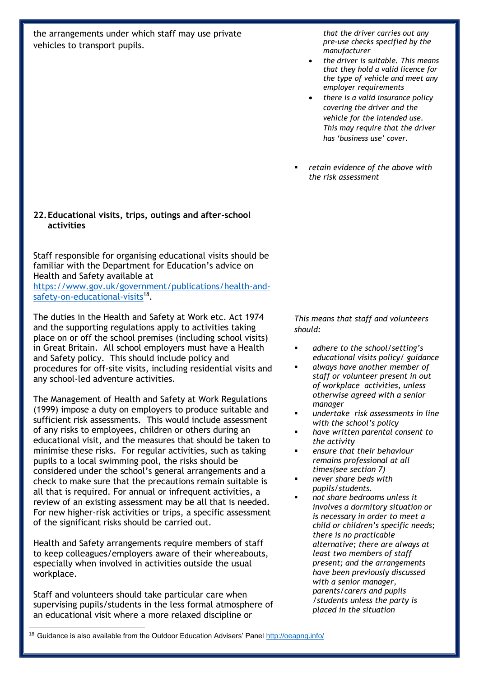the arrangements under which staff may use private vehicles to transport pupils.

**22.Educational visits, trips, outings and after-school activities**

Staff responsible for organising educational visits should be familiar with the Department for Education's advice on Health and Safety available at [https://www.gov.uk/government/publications/health-and](https://www.gov.uk/government/publications/health-and-safety-on-educational-visits)[safety-on-educational-visits](https://www.gov.uk/government/publications/health-and-safety-on-educational-visits)<sup>18</sup>.

The duties in the Health and Safety at Work etc. Act 1974 and the supporting regulations apply to activities taking place on or off the school premises (including school visits) in Great Britain. All school employers must have a Health and Safety policy. This should include policy and procedures for off-site visits, including residential visits and any school-led adventure activities.

The Management of Health and Safety at Work Regulations (1999) impose a duty on employers to produce suitable and sufficient risk assessments. This would include assessment of any risks to employees, children or others during an educational visit, and the measures that should be taken to minimise these risks. For regular activities, such as taking pupils to a local swimming pool, the risks should be considered under the school's general arrangements and a check to make sure that the precautions remain suitable is all that is required. For annual or infrequent activities, a review of an existing assessment may be all that is needed. For new higher-risk activities or trips, a specific assessment of the significant risks should be carried out.

Health and Safety arrangements require members of staff to keep colleagues/employers aware of their whereabouts, especially when involved in activities outside the usual workplace.

Staff and volunteers should take particular care when supervising pupils/students in the less formal atmosphere of an educational visit where a more relaxed discipline or

*that the driver carries out any pre-use checks specified by the manufacturer* 

- *the driver is suitable. This means that they hold a valid licence for the type of vehicle and meet any employer requirements*
- *there is a valid insurance policy covering the driver and the vehicle for the intended use. This may require that the driver has 'business use' cover.*
- *retain evidence of the above with the risk assessment*

*This means that staff and volunteers should:*

- *adhere to the school/setting's educational visits policy/ guidance*
- *always have another member of staff or volunteer present in out of workplace activities, unless otherwise agreed with a senior manager*
- *undertake risk assessments in line with the school's policy*
- *have written parental consent to the activity*
- *ensure that their behaviour remains professional at all times(see section 7)*
- *never share beds with pupils/students.*
- *not share bedrooms unless it involves a dormitory situation or is necessary in order to meet a child or children's specific needs; there is no practicable alternative; there are always at least two members of staff present; and the arrangements have been previously discussed with a senior manager, parents/carers and pupils /students unless the party is placed in the situation*

<sup>1</sup> <sup>18</sup> Guidance is also available from the Outdoor Education Advisers' Pane[l http://oeapng.info/](http://oeapng.info/)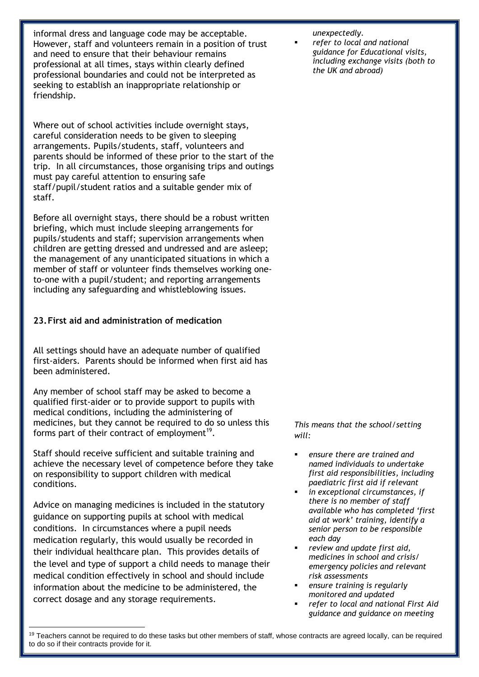informal dress and language code may be acceptable. However, staff and volunteers remain in a position of trust and need to ensure that their behaviour remains professional at all times, stays within clearly defined professional boundaries and could not be interpreted as seeking to establish an inappropriate relationship or friendship.

Where out of school activities include overnight stays, careful consideration needs to be given to sleeping arrangements. Pupils/students, staff, volunteers and parents should be informed of these prior to the start of the trip. In all circumstances, those organising trips and outings must pay careful attention to ensuring safe staff/pupil/student ratios and a suitable gender mix of staff.

Before all overnight stays, there should be a robust written briefing, which must include sleeping arrangements for pupils/students and staff; supervision arrangements when children are getting dressed and undressed and are asleep; the management of any unanticipated situations in which a member of staff or volunteer finds themselves working oneto-one with a pupil/student; and reporting arrangements including any safeguarding and whistleblowing issues.

#### **23.First aid and administration of medication**

All settings should have an adequate number of qualified first-aiders. Parents should be informed when first aid has been administered.

Any member of school staff may be asked to become a qualified first-aider or to provide support to pupils with medical conditions, including the administering of medicines, but they cannot be required to do so unless this forms part of their contract of employment<sup>19</sup>.

Staff should receive sufficient and suitable training and achieve the necessary level of competence before they take on responsibility to support children with medical conditions.

Advice on managing medicines is included in the statutory guidance on supporting pupils at school with medical conditions. In circumstances where a pupil needs medication regularly, this would usually be recorded in their individual healthcare plan. This provides details of the level and type of support a child needs to manage their medical condition effectively in school and should include information about the medicine to be administered, the correct dosage and any storage requirements.

1

#### *unexpectedly.*

 *refer to local and national guidance for Educational visits, including exchange visits (both to the UK and abroad)* 

*This means that the school/setting will:*

- *ensure there are trained and named individuals to undertake first aid responsibilities, including paediatric first aid if relevant*
- *in exceptional circumstances, if there is no member of staff available who has completed 'first aid at work' training, identify a senior person to be responsible each day*
- *review and update first aid, medicines in school and crisis/ emergency policies and relevant risk assessments*
- *ensure training is regularly monitored and updated*
- *refer to local and national First Aid guidance and guidance on meeting*

<sup>&</sup>lt;sup>19</sup> Teachers cannot be required to do these tasks but other members of staff, whose contracts are agreed locally, can be required to do so if their contracts provide for it.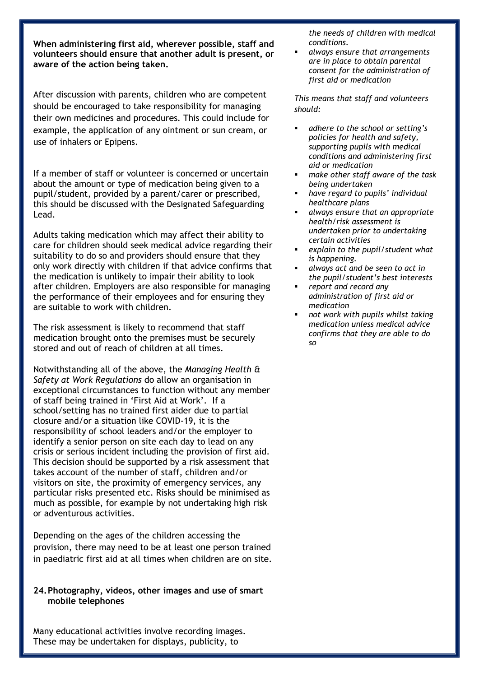**When administering first aid, wherever possible, staff and volunteers should ensure that another adult is present, or aware of the action being taken.** 

After discussion with parents, children who are competent should be encouraged to take responsibility for managing their own medicines and procedures. This could include for example, the application of any ointment or sun cream, or use of inhalers or Epipens.

If a member of staff or volunteer is concerned or uncertain about the amount or type of medication being given to a pupil/student, provided by a parent/carer or prescribed, this should be discussed with the Designated Safeguarding Lead.

Adults taking medication which may affect their ability to care for children should seek medical advice regarding their suitability to do so and providers should ensure that they only work directly with children if that advice confirms that the medication is unlikely to impair their ability to look after children. Employers are also responsible for managing the performance of their employees and for ensuring they are suitable to work with children.

The risk assessment is likely to recommend that staff medication brought onto the premises must be securely stored and out of reach of children at all times.

Notwithstanding all of the above, the *Managing Health & Safety at Work Regulations* do allow an organisation in exceptional circumstances to function without any member of staff being trained in 'First Aid at Work'. If a school/setting has no trained first aider due to partial closure and/or a situation like COVID-19, it is the responsibility of school leaders and/or the employer to identify a senior person on site each day to lead on any crisis or serious incident including the provision of first aid. This decision should be supported by a risk assessment that takes account of the number of staff, children and/or visitors on site, the proximity of emergency services, any particular risks presented etc. Risks should be minimised as much as possible, for example by not undertaking high risk or adventurous activities.

Depending on the ages of the children accessing the provision, there may need to be at least one person trained in paediatric first aid at all times when children are on site.

#### **24.Photography, videos, other images and use of smart mobile telephones**

Many educational activities involve recording images. These may be undertaken for displays, publicity, to

*the needs of children with medical conditions.*

 *always ensure that arrangements are in place to obtain parental consent for the administration of first aid or medication* 

*This means that staff and volunteers should:*

- *adhere to the school or setting's policies for health and safety, supporting pupils with medical conditions and administering first aid or medication*
- *make other staff aware of the task being undertaken*
- *have regard to pupils' individual healthcare plans*
- *always ensure that an appropriate health/risk assessment is undertaken prior to undertaking certain activities*
- *explain to the pupil/student what is happening.*
- *always act and be seen to act in the pupil/student's best interests*
- *report and record any administration of first aid or medication*
- *not work with pupils whilst taking medication unless medical advice confirms that they are able to do so*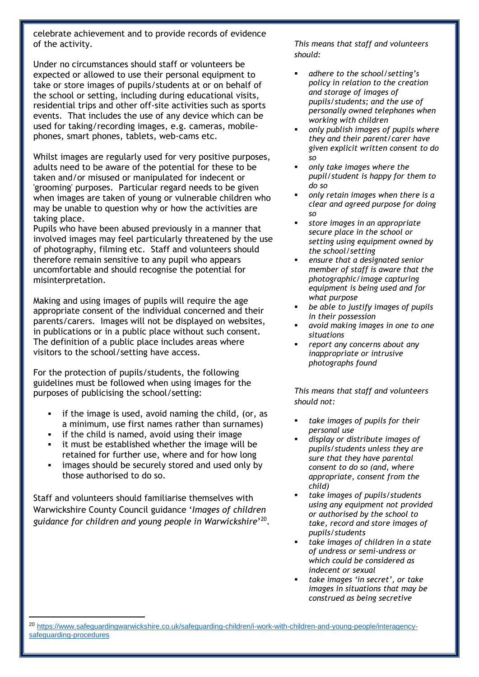celebrate achievement and to provide records of evidence of the activity.

Under no circumstances should staff or volunteers be expected or allowed to use their personal equipment to take or store images of pupils/students at or on behalf of the school or setting, including during educational visits, residential trips and other off-site activities such as sports events. That includes the use of any device which can be used for taking/recording images, e.g. cameras, mobilephones, smart phones, tablets, web-cams etc.

Whilst images are regularly used for very positive purposes, adults need to be aware of the potential for these to be taken and/or misused or manipulated for indecent or 'grooming' purposes. Particular regard needs to be given when images are taken of young or vulnerable children who may be unable to question why or how the activities are taking place.

Pupils who have been abused previously in a manner that involved images may feel particularly threatened by the use of photography, filming etc. Staff and volunteers should therefore remain sensitive to any pupil who appears uncomfortable and should recognise the potential for misinterpretation.

Making and using images of pupils will require the age appropriate consent of the individual concerned and their parents/carers. Images will not be displayed on websites, in publications or in a public place without such consent. The definition of a public place includes areas where visitors to the school/setting have access.

For the protection of pupils/students, the following guidelines must be followed when using images for the purposes of publicising the school/setting:

- if the image is used, avoid naming the child, (or, as a minimum, use first names rather than surnames)
- **i** if the child is named, avoid using their image
- it must be established whether the image will be retained for further use, where and for how long
- **i** images should be securely stored and used only by those authorised to do so.

Staff and volunteers should familiarise themselves with Warwickshire County Council guidance '*Images of children guidance for children and young people in Warwickshire*' 20 .

**.** 

*This means that staff and volunteers should:*

- *adhere to the school/setting's policy in relation to the creation and storage of images of pupils/students; and the use of personally owned telephones when working with children*
- *only publish images of pupils where they and their parent/carer have given explicit written consent to do so*
- *only take images where the pupil/student is happy for them to do so*
- *only retain images when there is a clear and agreed purpose for doing so*
- *store images in an appropriate secure place in the school or setting using equipment owned by the school/setting*
- *ensure that a designated senior member of staff is aware that the photographic/image capturing equipment is being used and for what purpose*
- *be able to justify images of pupils in their possession*
- *avoid making images in one to one situations*
- *report any concerns about any inappropriate or intrusive photographs found*

*This means that staff and volunteers should not:*

- *take images of pupils for their personal use*
- *display or distribute images of pupils/students unless they are sure that they have parental consent to do so (and, where appropriate, consent from the child)*
- *take images of pupils/students using any equipment not provided or authorised by the school to take, record and store images of pupils/students*
- *take images of children in a state of undress or semi-undress or which could be considered as indecent or sexual*
- *take images 'in secret', or take images in situations that may be construed as being secretive*

<sup>20</sup> [https://www.safeguardingwarwickshire.co.uk/safeguarding-children/i-work-with-children-and-young-people/interagency](https://www.safeguardingwarwickshire.co.uk/safeguarding-children/i-work-with-children-and-young-people/interagency-safeguarding-procedures)[safeguarding-procedures](https://www.safeguardingwarwickshire.co.uk/safeguarding-children/i-work-with-children-and-young-people/interagency-safeguarding-procedures)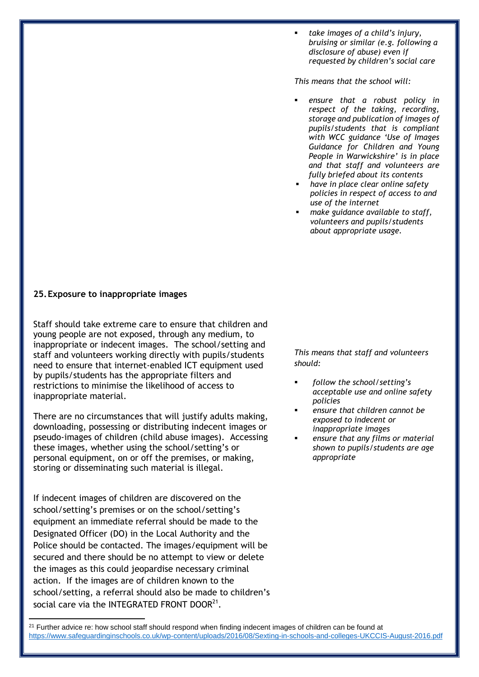*take images of a child's injury, bruising or similar (e.g. following a disclosure of abuse) even if requested by children's social care* 

*This means that the school will:* 

- *ensure that a robust policy in respect of the taking, recording, storage and publication of images of pupils/students that is compliant with WCC guidance 'Use of Images Guidance for Children and Young People in Warwickshire' is in place and that staff and volunteers are fully briefed about its contents*
- *have in place clear online safety policies in respect of access to and use of the internet*
- *make guidance available to staff, volunteers and pupils/students about appropriate usage.*

#### **25.Exposure to inappropriate images**

Staff should take extreme care to ensure that children and young people are not exposed, through any medium, to inappropriate or indecent images. The school/setting and staff and volunteers working directly with pupils/students need to ensure that internet-enabled ICT equipment used by pupils/students has the appropriate filters and restrictions to minimise the likelihood of access to inappropriate material.

There are no circumstances that will justify adults making, downloading, possessing or distributing indecent images or pseudo-images of children (child abuse images). Accessing these images, whether using the school/setting's or personal equipment, on or off the premises, or making, storing or disseminating such material is illegal.

If indecent images of children are discovered on the school/setting's premises or on the school/setting's equipment an immediate referral should be made to the Designated Officer (DO) in the Local Authority and the Police should be contacted. The images/equipment will be secured and there should be no attempt to view or delete the images as this could jeopardise necessary criminal action. If the images are of children known to the school/setting, a referral should also be made to children's social care via the INTEGRATED FRONT DOOR $^{21}.$ 

**.** 

*This means that staff and volunteers should:*

- *follow the school/setting's acceptable use and online safety policies*
- *ensure that children cannot be exposed to indecent or inappropriate images*
- *ensure that any films or material shown to pupils/students are age appropriate*

<sup>21</sup> Further advice re: how school staff should respond when finding indecent images of children can be found at <https://www.safeguardinginschools.co.uk/wp-content/uploads/2016/08/Sexting-in-schools-and-colleges-UKCCIS-August-2016.pdf>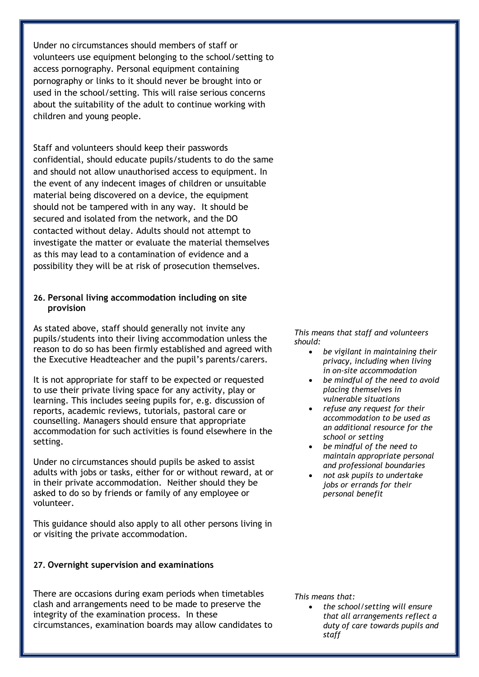Under no circumstances should members of staff or volunteers use equipment belonging to the school/setting to access pornography. Personal equipment containing pornography or links to it should never be brought into or used in the school/setting. This will raise serious concerns about the suitability of the adult to continue working with children and young people.

Staff and volunteers should keep their passwords confidential, should educate pupils/students to do the same and should not allow unauthorised access to equipment. In the event of any indecent images of children or unsuitable material being discovered on a device, the equipment should not be tampered with in any way. It should be secured and isolated from the network, and the DO contacted without delay. Adults should not attempt to investigate the matter or evaluate the material themselves as this may lead to a contamination of evidence and a possibility they will be at risk of prosecution themselves.

#### **26. Personal living accommodation including on site provision**

As stated above, staff should generally not invite any pupils/students into their living accommodation unless the reason to do so has been firmly established and agreed with the Executive Headteacher and the pupil's parents/carers.

It is not appropriate for staff to be expected or requested to use their private living space for any activity, play or learning. This includes seeing pupils for, e.g. discussion of reports, academic reviews, tutorials, pastoral care or counselling. Managers should ensure that appropriate accommodation for such activities is found elsewhere in the setting.

Under no circumstances should pupils be asked to assist adults with jobs or tasks, either for or without reward, at or in their private accommodation. Neither should they be asked to do so by friends or family of any employee or volunteer.

This guidance should also apply to all other persons living in or visiting the private accommodation.

#### **27. Overnight supervision and examinations**

There are occasions during exam periods when timetables clash and arrangements need to be made to preserve the integrity of the examination process. In these circumstances, examination boards may allow candidates to *This means that staff and volunteers should:* 

- *be vigilant in maintaining their privacy, including when living in on-site accommodation*
- *be mindful of the need to avoid placing themselves in vulnerable situations*
- *refuse any request for their accommodation to be used as an additional resource for the school or setting*
- *be mindful of the need to maintain appropriate personal and professional boundaries*
- *not ask pupils to undertake jobs or errands for their personal benefit*

*This means that:*

 *the school/setting will ensure that all arrangements reflect a duty of care towards pupils and staff*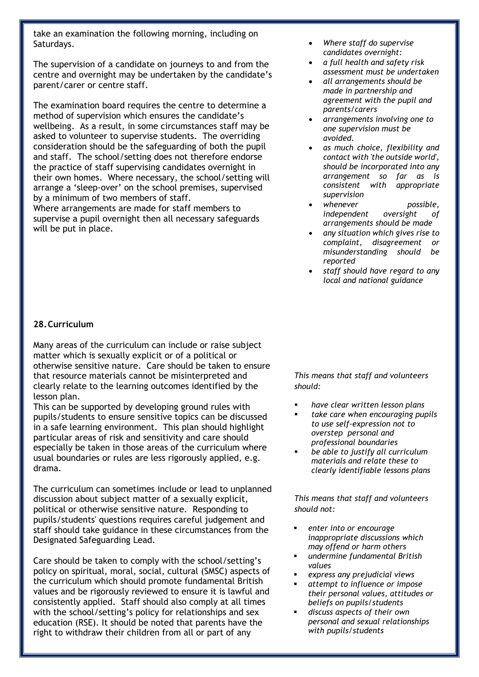take an examination the following morning, including on Saturdays.

The supervision of a candidate on journeys to and from the centre and overnight may be undertaken by the candidate's parent/carer or centre staff.

The examination board requires the centre to determine a method of supervision which ensures the candidate's wellbeing. As a result, in some circumstances staff may be asked to volunteer to supervise students. The overriding consideration should be the safeguarding of both the pupil and staff. The school/setting does not therefore endorse the practice of staff supervising candidates overnight in their own homes. Where necessary, the school/setting will arrange a 'sleep-over' on the school premises, supervised by a minimum of two members of staff.

Where arrangements are made for staff members to supervise a pupil overnight then all necessary safeguards will be put in place.

- *Where staff do supervise candidates overnight:*
- *a full health and safety risk assessment must be undertaken*
- *all arrangements should be made in partnership and agreement with the pupil and parents/carers*
- *arrangements involving one to one supervision must be avoided.*
- *as much choice, flexibility and contact with 'the outside world', should be incorporated into any arrangement so far as is consistent with appropriate supervision*
- *whenever possible, independent oversight of arrangements should be made*
- *any situation which gives rise to complaint, disagreement or misunderstanding should be reported*
- *staff should have regard to any local and national guidance*

#### **28.Curriculum**

Many areas of the curriculum can include or raise subject matter which is sexually explicit or of a political or otherwise sensitive nature. Care should be taken to ensure that resource materials cannot be misinterpreted and clearly relate to the learning outcomes identified by the lesson plan.

This can be supported by developing ground rules with pupils/students to ensure sensitive topics can be discussed in a safe learning environment. This plan should highlight particular areas of risk and sensitivity and care should especially be taken in those areas of the curriculum where usual boundaries or rules are less rigorously applied, e.g. drama.

The curriculum can sometimes include or lead to unplanned discussion about subject matter of a sexually explicit, political or otherwise sensitive nature. Responding to pupils/students' questions requires careful judgement and staff should take guidance in these circumstances from the Designated Safeguarding Lead.

Care should be taken to comply with the school/setting's policy on spiritual, moral, social, cultural (SMSC) aspects of the curriculum which should promote fundamental British values and be rigorously reviewed to ensure it is lawful and consistently applied. Staff should also comply at all times with the school/setting's policy for relationships and sex education (RSE). It should be noted that parents have the right to withdraw their children from all or part of any

*This means that staff and volunteers should:*

- *have clear written lesson plans*
- *take care when encouraging pupils to use self-expression not to overstep personal and professional boundaries*
- *be able to justify all curriculum materials and relate these to clearly identifiable lessons plans*

*This means that staff and volunteers should not:*

- *enter into or encourage inappropriate discussions which may offend or harm others*
- *undermine fundamental British values*
- *express any prejudicial views*
- *attempt to influence or impose their personal values, attitudes or beliefs on pupils/students*
- *discuss aspects of their own personal and sexual relationships with pupils/students*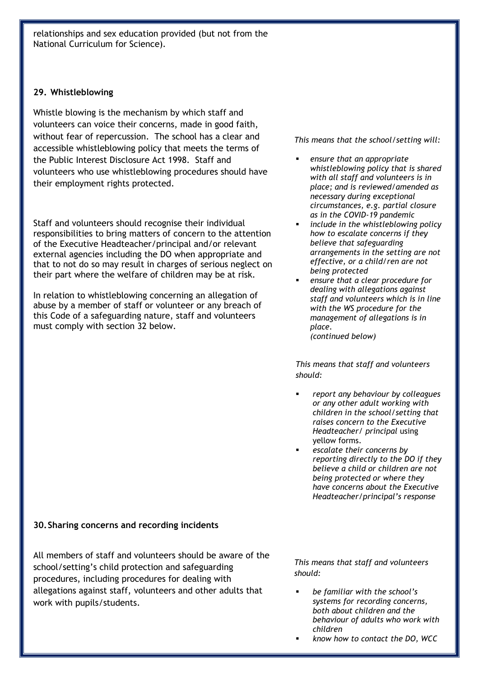relationships and sex education provided (but not from the National Curriculum for Science).

#### **29. Whistleblowing**

Whistle blowing is the mechanism by which staff and volunteers can voice their concerns, made in good faith, without fear of repercussion. The school has a clear and accessible whistleblowing policy that meets the terms of the Public Interest Disclosure Act 1998. Staff and volunteers who use whistleblowing procedures should have their employment rights protected.

Staff and volunteers should recognise their individual responsibilities to bring matters of concern to the attention of the Executive Headteacher/principal and/or relevant external agencies including the DO when appropriate and that to not do so may result in charges of serious neglect on their part where the welfare of children may be at risk.

In relation to whistleblowing concerning an allegation of abuse by a member of staff or volunteer or any breach of this Code of a safeguarding nature, staff and volunteers must comply with section 32 below.

*This means that the school/setting will:*

- *ensure that an appropriate whistleblowing policy that is shared with all staff and volunteers is in place; and is reviewed/amended as necessary during exceptional circumstances, e.g. partial closure as in the COVID-19 pandemic*
- *include in the whistleblowing policy how to escalate concerns if they believe that safeguarding arrangements in the setting are not effective, or a child/ren are not being protected*
- *ensure that a clear procedure for dealing with allegations against staff and volunteers which is in line with the WS procedure for the management of allegations is in place. (continued below)*

*This means that staff and volunteers should:*

- *report any behaviour by colleagues or any other adult working with children in the school/setting that raises concern to the Executive Headteacher/ principal* using yellow forms.
- *escalate their concerns by reporting directly to the DO if they believe a child or children are not being protected or where they have concerns about the Executive Headteacher/principal's response*

#### **30.Sharing concerns and recording incidents**

All members of staff and volunteers should be aware of the school/setting's child protection and safeguarding procedures, including procedures for dealing with allegations against staff, volunteers and other adults that work with pupils/students.

*This means that staff and volunteers should:*

- *be familiar with the school's systems for recording concerns, both about children and the behaviour of adults who work with children*
- *know how to contact the DO, WCC*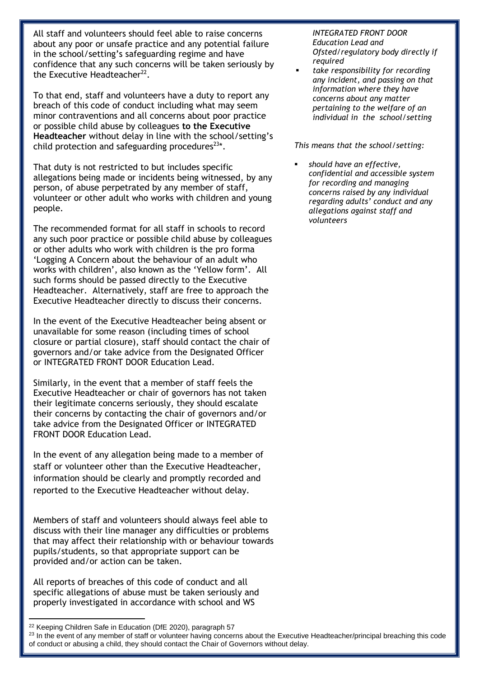All staff and volunteers should feel able to raise concerns about any poor or unsafe practice and any potential failure in the school/setting's safeguarding regime and have confidence that any such concerns will be taken seriously by the Executive Headteacher<sup>22</sup>.

To that end, staff and volunteers have a duty to report any breach of this code of conduct including what may seem minor contraventions and all concerns about poor practice or possible child abuse by colleagues **to the Executive Headteacher** without delay in line with the school/setting's child protection and safeguarding procedures $^{23*}$ .

That duty is not restricted to but includes specific allegations being made or incidents being witnessed, by any person, of abuse perpetrated by any member of staff, volunteer or other adult who works with children and young people.

The recommended format for all staff in schools to record any such poor practice or possible child abuse by colleagues or other adults who work with children is the pro forma 'Logging A Concern about the behaviour of an adult who works with children', also known as the 'Yellow form'. All such forms should be passed directly to the Executive Headteacher. Alternatively, staff are free to approach the Executive Headteacher directly to discuss their concerns.

In the event of the Executive Headteacher being absent or unavailable for some reason (including times of school closure or partial closure), staff should contact the chair of governors and/or take advice from the Designated Officer or INTEGRATED FRONT DOOR Education Lead.

Similarly, in the event that a member of staff feels the Executive Headteacher or chair of governors has not taken their legitimate concerns seriously, they should escalate their concerns by contacting the chair of governors and/or take advice from the Designated Officer or INTEGRATED FRONT DOOR Education Lead.

In the event of any allegation being made to a member of staff or volunteer other than the Executive Headteacher, information should be clearly and promptly recorded and reported to the Executive Headteacher without delay.

Members of staff and volunteers should always feel able to discuss with their line manager any difficulties or problems that may affect their relationship with or behaviour towards pupils/students, so that appropriate support can be provided and/or action can be taken.

All reports of breaches of this code of conduct and all specific allegations of abuse must be taken seriously and properly investigated in accordance with school and WS

#### *INTEGRATED FRONT DOOR Education Lead and Ofsted/regulatory body directly if required*

 *take responsibility for recording any incident, and passing on that information where they have concerns about any matter pertaining to the welfare of an individual in the school/setting*

*This means that the school/setting:*

 *should have an effective, confidential and accessible system for recording and managing concerns raised by any individual regarding adults' conduct and any allegations against staff and volunteers* 

**.** 

<sup>&</sup>lt;sup>22</sup> Keeping Children Safe in Education (DfE 2020), paragraph 57

<sup>&</sup>lt;sup>23</sup> In the event of any member of staff or volunteer having concerns about the Executive Headteacher/principal breaching this code of conduct or abusing a child, they should contact the Chair of Governors without delay.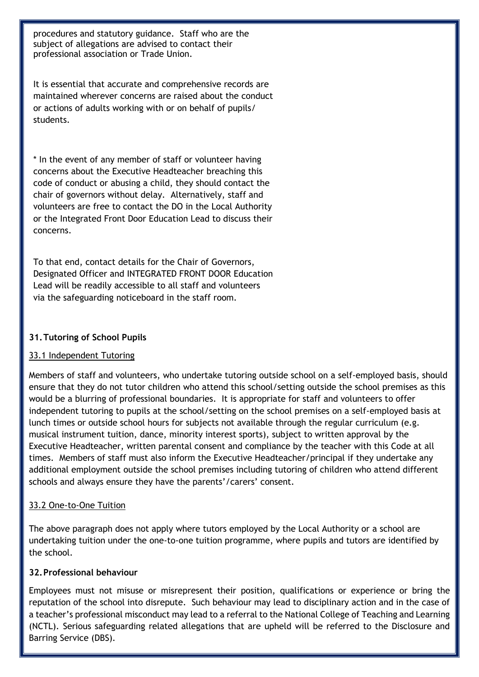procedures and statutory guidance. Staff who are the subject of allegations are advised to contact their professional association or Trade Union.

It is essential that accurate and comprehensive records are maintained wherever concerns are raised about the conduct or actions of adults working with or on behalf of pupils/ students.

\* In the event of any member of staff or volunteer having concerns about the Executive Headteacher breaching this code of conduct or abusing a child, they should contact the chair of governors without delay. Alternatively, staff and volunteers are free to contact the DO in the Local Authority or the Integrated Front Door Education Lead to discuss their concerns.

To that end, contact details for the Chair of Governors, Designated Officer and INTEGRATED FRONT DOOR Education Lead will be readily accessible to all staff and volunteers via the safeguarding noticeboard in the staff room.

#### **31.Tutoring of School Pupils**

#### 33.1 Independent Tutoring

Members of staff and volunteers, who undertake tutoring outside school on a self-employed basis, should ensure that they do not tutor children who attend this school/setting outside the school premises as this would be a blurring of professional boundaries. It is appropriate for staff and volunteers to offer independent tutoring to pupils at the school/setting on the school premises on a self-employed basis at lunch times or outside school hours for subjects not available through the regular curriculum (e.g. musical instrument tuition, dance, minority interest sports), subject to written approval by the Executive Headteacher, written parental consent and compliance by the teacher with this Code at all times. Members of staff must also inform the Executive Headteacher/principal if they undertake any additional employment outside the school premises including tutoring of children who attend different schools and always ensure they have the parents'/carers' consent.

#### 33.2 One-to-One Tuition

The above paragraph does not apply where tutors employed by the Local Authority or a school are undertaking tuition under the one-to-one tuition programme, where pupils and tutors are identified by the school.

#### **32.Professional behaviour**

Employees must not misuse or misrepresent their position, qualifications or experience or bring the reputation of the school into disrepute. Such behaviour may lead to disciplinary action and in the case of a teacher's professional misconduct may lead to a referral to the National College of Teaching and Learning (NCTL). Serious safeguarding related allegations that are upheld will be referred to the Disclosure and Barring Service (DBS).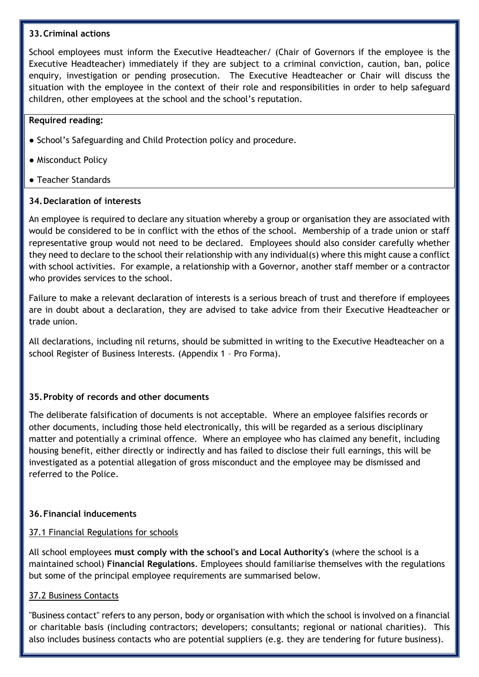#### **33.Criminal actions**

School employees must inform the Executive Headteacher/ (Chair of Governors if the employee is the Executive Headteacher) immediately if they are subject to a criminal conviction, caution, ban, police enquiry, investigation or pending prosecution.The Executive Headteacher or Chair will discuss the situation with the employee in the context of their role and responsibilities in order to help safeguard children, other employees at the school and the school's reputation.

#### **Required reading:**

- School's Safeguarding and Child Protection policy and procedure.
- Misconduct Policy
- Teacher Standards

#### **34.Declaration of interests**

An employee is required to declare any situation whereby a group or organisation they are associated with would be considered to be in conflict with the ethos of the school. Membership of a trade union or staff representative group would not need to be declared. Employees should also consider carefully whether they need to declare to the school their relationship with any individual(s) where this might cause a conflict with school activities. For example, a relationship with a Governor, another staff member or a contractor who provides services to the school.

Failure to make a relevant declaration of interests is a serious breach of trust and therefore if employees are in doubt about a declaration, they are advised to take advice from their Executive Headteacher or trade union.

All declarations, including nil returns, should be submitted in writing to the Executive Headteacher on a school Register of Business Interests. (Appendix 1 – Pro Forma).

#### **35.Probity of records and other documents**

The deliberate falsification of documents is not acceptable. Where an employee falsifies records or other documents, including those held electronically, this will be regarded as a serious disciplinary matter and potentially a criminal offence. Where an employee who has claimed any benefit, including housing benefit, either directly or indirectly and has failed to disclose their full earnings, this will be investigated as a potential allegation of gross misconduct and the employee may be dismissed and referred to the Police.

#### **36.Financial inducements**

#### 37.1 Financial Regulations for schools

All school employees **must comply with the school's and Local Authority's** (where the school is a maintained school) **Financial Regulations**. Employees should familiarise themselves with the regulations but some of the principal employee requirements are summarised below.

#### 37.2 Business Contacts

"Business contact" refers to any person, body or organisation with which the school is involved on a financial or charitable basis (including contractors; developers; consultants; regional or national charities). This also includes business contacts who are potential suppliers (e.g. they are tendering for future business).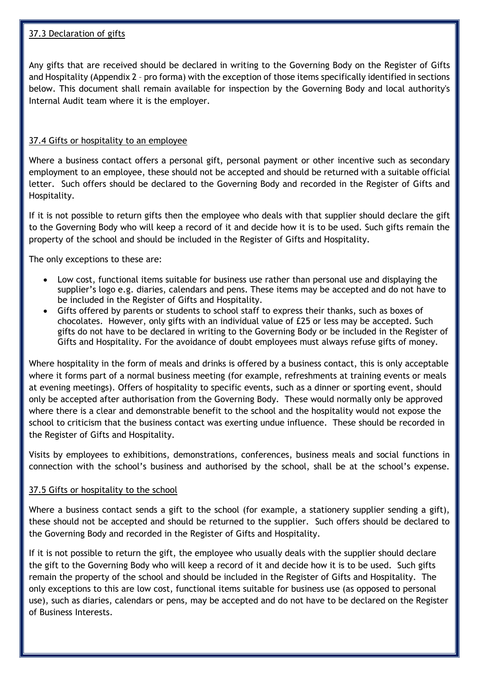#### 37.3 Declaration of gifts

Any gifts that are received should be declared in writing to the Governing Body on the Register of Gifts and Hospitality (Appendix 2 – pro forma) with the exception of those items specifically identified in sections below. This document shall remain available for inspection by the Governing Body and local authority's Internal Audit team where it is the employer.

#### 37.4 Gifts or hospitality to an employee

Where a business contact offers a personal gift, personal payment or other incentive such as secondary employment to an employee, these should not be accepted and should be returned with a suitable official letter. Such offers should be declared to the Governing Body and recorded in the Register of Gifts and Hospitality.

If it is not possible to return gifts then the employee who deals with that supplier should declare the gift to the Governing Body who will keep a record of it and decide how it is to be used. Such gifts remain the property of the school and should be included in the Register of Gifts and Hospitality.

The only exceptions to these are:

- Low cost, functional items suitable for business use rather than personal use and displaying the supplier's logo e.g. diaries, calendars and pens. These items may be accepted and do not have to be included in the Register of Gifts and Hospitality.
- Gifts offered by parents or students to school staff to express their thanks, such as boxes of chocolates. However, only gifts with an individual value of £25 or less may be accepted. Such gifts do not have to be declared in writing to the Governing Body or be included in the Register of Gifts and Hospitality. For the avoidance of doubt employees must always refuse gifts of money.

Where hospitality in the form of meals and drinks is offered by a business contact, this is only acceptable where it forms part of a normal business meeting (for example, refreshments at training events or meals at evening meetings). Offers of hospitality to specific events, such as a dinner or sporting event, should only be accepted after authorisation from the Governing Body. These would normally only be approved where there is a clear and demonstrable benefit to the school and the hospitality would not expose the school to criticism that the business contact was exerting undue influence. These should be recorded in the Register of Gifts and Hospitality.

Visits by employees to exhibitions, demonstrations, conferences, business meals and social functions in connection with the school's business and authorised by the school, shall be at the school's expense.

#### 37.5 Gifts or hospitality to the school

Where a business contact sends a gift to the school (for example, a stationery supplier sending a gift), these should not be accepted and should be returned to the supplier. Such offers should be declared to the Governing Body and recorded in the Register of Gifts and Hospitality.

If it is not possible to return the gift, the employee who usually deals with the supplier should declare the gift to the Governing Body who will keep a record of it and decide how it is to be used. Such gifts remain the property of the school and should be included in the Register of Gifts and Hospitality. The only exceptions to this are low cost, functional items suitable for business use (as opposed to personal use), such as diaries, calendars or pens, may be accepted and do not have to be declared on the Register of Business Interests.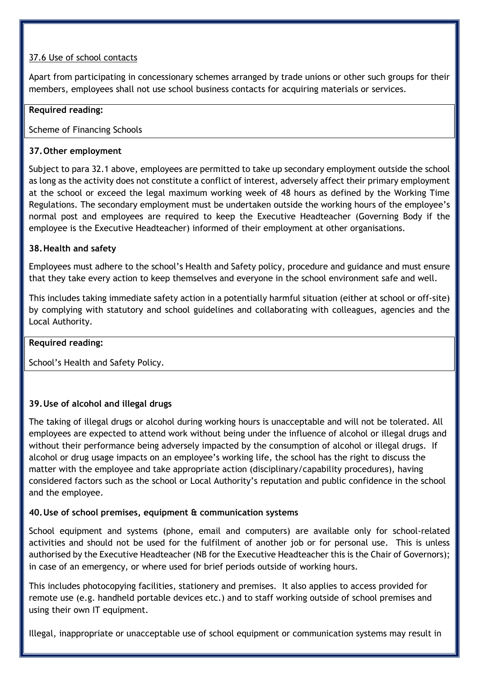#### 37.6 Use of school contacts

Apart from participating in concessionary schemes arranged by trade unions or other such groups for their members, employees shall not use school business contacts for acquiring materials or services.

#### **Required reading:**

Scheme of Financing Schools

#### **37.Other employment**

Subject to para 32.1 above, employees are permitted to take up secondary employment outside the school as long as the activity does not constitute a conflict of interest, adversely affect their primary employment at the school or exceed the legal maximum working week of 48 hours as defined by the Working Time Regulations. The secondary employment must be undertaken outside the working hours of the employee's normal post and employees are required to keep the Executive Headteacher (Governing Body if the employee is the Executive Headteacher) informed of their employment at other organisations.

#### **38.Health and safety**

Employees must adhere to the school's Health and Safety policy, procedure and guidance and must ensure that they take every action to keep themselves and everyone in the school environment safe and well.

This includes taking immediate safety action in a potentially harmful situation (either at school or off-site) by complying with statutory and school guidelines and collaborating with colleagues, agencies and the Local Authority.

#### **Required reading:**

School's Health and Safety Policy.

#### **39.Use of alcohol and illegal drugs**

The taking of illegal drugs or alcohol during working hours is unacceptable and will not be tolerated. All employees are expected to attend work without being under the influence of alcohol or illegal drugs and without their performance being adversely impacted by the consumption of alcohol or illegal drugs. If alcohol or drug usage impacts on an employee's working life, the school has the right to discuss the matter with the employee and take appropriate action (disciplinary/capability procedures), having considered factors such as the school or Local Authority's reputation and public confidence in the school and the employee.

#### **40.Use of school premises, equipment & communication systems**

School equipment and systems (phone, email and computers) are available only for school-related activities and should not be used for the fulfilment of another job or for personal use. This is unless authorised by the Executive Headteacher (NB for the Executive Headteacher this is the Chair of Governors); in case of an emergency, or where used for brief periods outside of working hours.

This includes photocopying facilities, stationery and premises. It also applies to access provided for remote use (e.g. handheld portable devices etc.) and to staff working outside of school premises and using their own IT equipment.

Illegal, inappropriate or unacceptable use of school equipment or communication systems may result in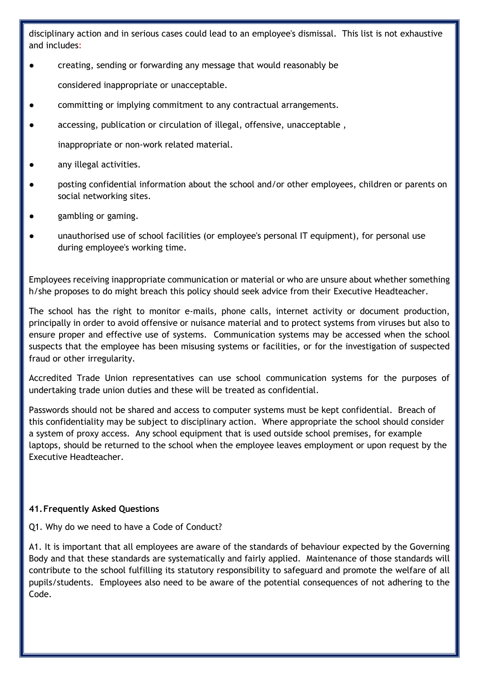disciplinary action and in serious cases could lead to an employee's dismissal. This list is not exhaustive and includes:

creating, sending or forwarding any message that would reasonably be

considered inappropriate or unacceptable.

- committing or implying commitment to any contractual arrangements.
- accessing, publication or circulation of illegal, offensive, unacceptable ,

inappropriate or non-work related material.

- any illegal activities.
- posting confidential information about the school and/or other employees, children or parents on social networking sites.
- gambling or gaming.
- unauthorised use of school facilities (or employee's personal IT equipment), for personal use during employee's working time.

Employees receiving inappropriate communication or material or who are unsure about whether something h/she proposes to do might breach this policy should seek advice from their Executive Headteacher.

The school has the right to monitor e-mails, phone calls, internet activity or document production, principally in order to avoid offensive or nuisance material and to protect systems from viruses but also to ensure proper and effective use of systems. Communication systems may be accessed when the school suspects that the employee has been misusing systems or facilities, or for the investigation of suspected fraud or other irregularity.

Accredited Trade Union representatives can use school communication systems for the purposes of undertaking trade union duties and these will be treated as confidential.

Passwords should not be shared and access to computer systems must be kept confidential. Breach of this confidentiality may be subject to disciplinary action. Where appropriate the school should consider a system of proxy access. Any school equipment that is used outside school premises, for example laptops, should be returned to the school when the employee leaves employment or upon request by the Executive Headteacher.

#### **41.Frequently Asked Questions**

Q1. Why do we need to have a Code of Conduct?

A1. It is important that all employees are aware of the standards of behaviour expected by the Governing Body and that these standards are systematically and fairly applied. Maintenance of those standards will contribute to the school fulfilling its statutory responsibility to safeguard and promote the welfare of all pupils/students. Employees also need to be aware of the potential consequences of not adhering to the Code.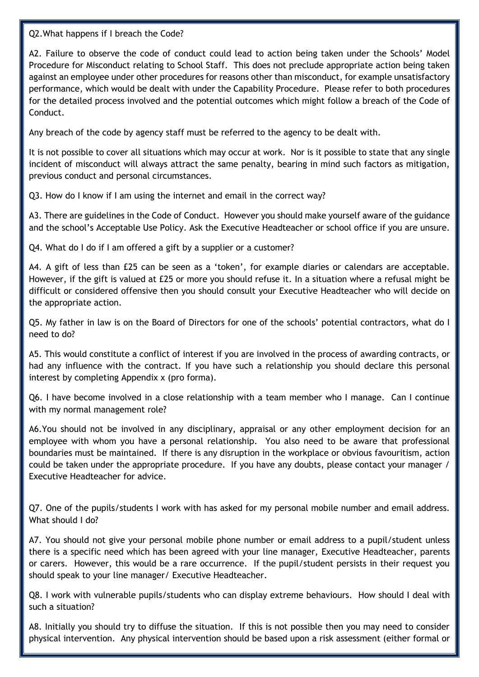Q2.What happens if I breach the Code?

A2. Failure to observe the code of conduct could lead to action being taken under the Schools' Model Procedure for Misconduct relating to School Staff. This does not preclude appropriate action being taken against an employee under other procedures for reasons other than misconduct, for example unsatisfactory performance, which would be dealt with under the Capability Procedure. Please refer to both procedures for the detailed process involved and the potential outcomes which might follow a breach of the Code of Conduct.

Any breach of the code by agency staff must be referred to the agency to be dealt with.

It is not possible to cover all situations which may occur at work. Nor is it possible to state that any single incident of misconduct will always attract the same penalty, bearing in mind such factors as mitigation, previous conduct and personal circumstances.

Q3. How do I know if I am using the internet and email in the correct way?

A3. There are guidelines in the Code of Conduct. However you should make yourself aware of the guidance and the school's Acceptable Use Policy. Ask the Executive Headteacher or school office if you are unsure.

Q4. What do I do if I am offered a gift by a supplier or a customer?

A4. A gift of less than £25 can be seen as a 'token', for example diaries or calendars are acceptable. However, if the gift is valued at £25 or more you should refuse it. In a situation where a refusal might be difficult or considered offensive then you should consult your Executive Headteacher who will decide on the appropriate action.

Q5. My father in law is on the Board of Directors for one of the schools' potential contractors, what do I need to do?

A5. This would constitute a conflict of interest if you are involved in the process of awarding contracts, or had any influence with the contract. If you have such a relationship you should declare this personal interest by completing Appendix x (pro forma).

Q6. I have become involved in a close relationship with a team member who I manage. Can I continue with my normal management role?

A6.You should not be involved in any disciplinary, appraisal or any other employment decision for an employee with whom you have a personal relationship. You also need to be aware that professional boundaries must be maintained. If there is any disruption in the workplace or obvious favouritism, action could be taken under the appropriate procedure. If you have any doubts, please contact your manager / Executive Headteacher for advice.

Q7. One of the pupils/students I work with has asked for my personal mobile number and email address. What should I do?

A7. You should not give your personal mobile phone number or email address to a pupil/student unless there is a specific need which has been agreed with your line manager, Executive Headteacher, parents or carers. However, this would be a rare occurrence. If the pupil/student persists in their request you should speak to your line manager/ Executive Headteacher.

Q8. I work with vulnerable pupils/students who can display extreme behaviours. How should I deal with such a situation?

A8. Initially you should try to diffuse the situation. If this is not possible then you may need to consider physical intervention. Any physical intervention should be based upon a risk assessment (either formal or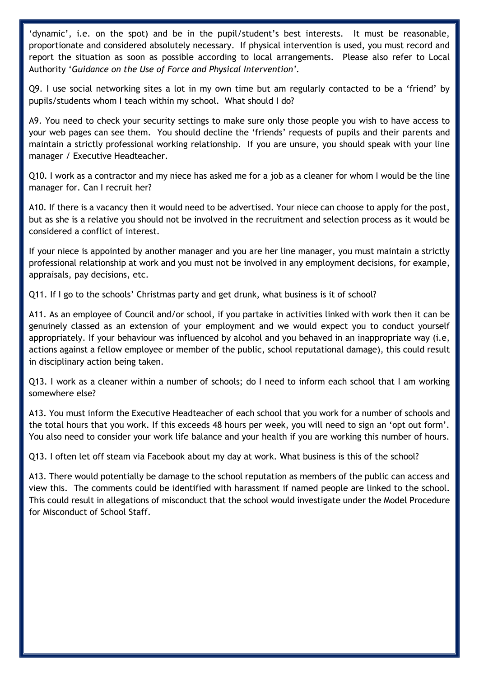'dynamic', i.e. on the spot) and be in the pupil/student's best interests. It must be reasonable, proportionate and considered absolutely necessary. If physical intervention is used, you must record and report the situation as soon as possible according to local arrangements. Please also refer to Local Authority '*Guidance on the Use of Force and Physical Intervention'.*

Q9. I use social networking sites a lot in my own time but am regularly contacted to be a 'friend' by pupils/students whom I teach within my school. What should I do?

A9. You need to check your security settings to make sure only those people you wish to have access to your web pages can see them. You should decline the 'friends' requests of pupils and their parents and maintain a strictly professional working relationship. If you are unsure, you should speak with your line manager / Executive Headteacher.

Q10. I work as a contractor and my niece has asked me for a job as a cleaner for whom I would be the line manager for. Can I recruit her?

A10. If there is a vacancy then it would need to be advertised. Your niece can choose to apply for the post, but as she is a relative you should not be involved in the recruitment and selection process as it would be considered a conflict of interest.

If your niece is appointed by another manager and you are her line manager, you must maintain a strictly professional relationship at work and you must not be involved in any employment decisions, for example, appraisals, pay decisions, etc.

Q11. If I go to the schools' Christmas party and get drunk, what business is it of school?

A11. As an employee of Council and/or school, if you partake in activities linked with work then it can be genuinely classed as an extension of your employment and we would expect you to conduct yourself appropriately. If your behaviour was influenced by alcohol and you behaved in an inappropriate way (i.e, actions against a fellow employee or member of the public, school reputational damage), this could result in disciplinary action being taken.

Q13. I work as a cleaner within a number of schools; do I need to inform each school that I am working somewhere else?

A13. You must inform the Executive Headteacher of each school that you work for a number of schools and the total hours that you work. If this exceeds 48 hours per week, you will need to sign an 'opt out form'. You also need to consider your work life balance and your health if you are working this number of hours.

Q13. I often let off steam via Facebook about my day at work. What business is this of the school?

A13. There would potentially be damage to the school reputation as members of the public can access and view this. The comments could be identified with harassment if named people are linked to the school. This could result in allegations of misconduct that the school would investigate under the Model Procedure for Misconduct of School Staff.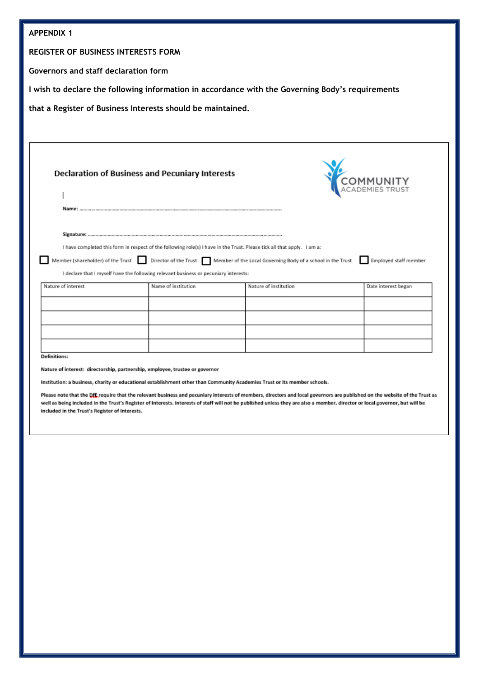| <b>APPENDIX 1</b>                                                                                                                                                                                                                                                                                                                                                                                                            |                     |                       |                     |
|------------------------------------------------------------------------------------------------------------------------------------------------------------------------------------------------------------------------------------------------------------------------------------------------------------------------------------------------------------------------------------------------------------------------------|---------------------|-----------------------|---------------------|
| <b>REGISTER OF BUSINESS INTERESTS FORM</b>                                                                                                                                                                                                                                                                                                                                                                                   |                     |                       |                     |
| Governors and staff declaration form                                                                                                                                                                                                                                                                                                                                                                                         |                     |                       |                     |
| I wish to declare the following information in accordance with the Governing Body's requirements                                                                                                                                                                                                                                                                                                                             |                     |                       |                     |
| that a Register of Business Interests should be maintained.                                                                                                                                                                                                                                                                                                                                                                  |                     |                       |                     |
|                                                                                                                                                                                                                                                                                                                                                                                                                              |                     |                       |                     |
| <b>Declaration of Business and Pecuniary Interests</b><br>I have completed this form in respect of the following role(s) I have in the Trust. Please tick all that apply. I am a:<br>Director of the Trust Member of the Local Governing Body of a school in the Trust<br>Member (shareholder) of the Trust<br>Employed staff member<br>I declare that I myself have the following relevant business or pecuniary interests: |                     |                       |                     |
| Nature of interest                                                                                                                                                                                                                                                                                                                                                                                                           | Name of institution | Nature of institution | Date interest began |
|                                                                                                                                                                                                                                                                                                                                                                                                                              |                     |                       |                     |
|                                                                                                                                                                                                                                                                                                                                                                                                                              |                     |                       |                     |
|                                                                                                                                                                                                                                                                                                                                                                                                                              |                     |                       |                     |
| <b>Definitions:</b><br>Nature of interest: directorship, partnership, employee, trustee or governor                                                                                                                                                                                                                                                                                                                          |                     |                       |                     |

Institution: a business, charity or educational establishment other than Community Academies Trust or its member schools.

Please note that the Off, require that the relevant business and pecuniary interests of members, directors and local governors are published on the website of the Trust as well as being included in the Trust's Register of Interests. Interests of staff will not be published unless they are also a member, director or local governor, but will be included in the Trust's Register of Interests.